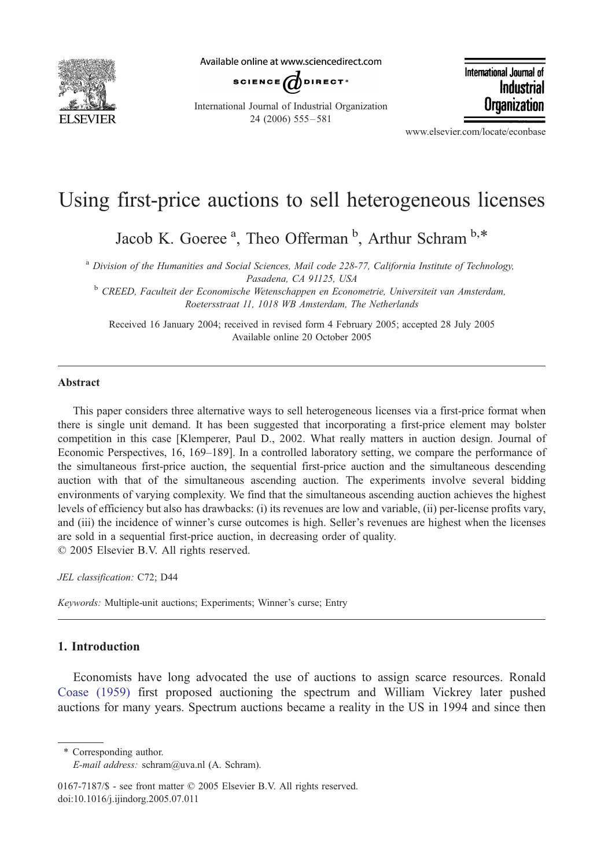

Available online at www.sciencedirect.com



International Journal of Industrial Organization 24 (2006) 555 – 581

International Journal of Industrial Organization

www.elsevier.com/locate/econbase

# Using first-price auctions to sell heterogeneous licenses

Jacob K. Goeree<sup>a</sup>, Theo Offerman<sup>b</sup>, Arthur Schram<sup>b,\*</sup>

<sup>a</sup> Division of the Humanities and Social Sciences, Mail code 228-77, California Institute of Technology,

Pasadena, CA 91125, USA <sup>b</sup> CREED, Faculteit der Economische Wetenschappen en Econometrie, Universiteit van Amsterdam, Roetersstraat 11, 1018 WB Amsterdam, The Netherlands

Received 16 January 2004; received in revised form 4 February 2005; accepted 28 July 2005 Available online 20 October 2005

## Abstract

This paper considers three alternative ways to sell heterogeneous licenses via a first-price format when there is single unit demand. It has been suggested that incorporating a first-price element may bolster competition in this case [Klemperer, Paul D., 2002. What really matters in auction design. Journal of Economic Perspectives, 16, 169–189]. In a controlled laboratory setting, we compare the performance of the simultaneous first-price auction, the sequential first-price auction and the simultaneous descending auction with that of the simultaneous ascending auction. The experiments involve several bidding environments of varying complexity. We find that the simultaneous ascending auction achieves the highest levels of efficiency but also has drawbacks: (i) its revenues are low and variable, (ii) per-license profits vary, and (iii) the incidence of winner's curse outcomes is high. Seller's revenues are highest when the licenses are sold in a sequential first-price auction, in decreasing order of quality.  $\odot$  2005 Elsevier B.V. All rights reserved.

JEL classification: C72; D44

Keywords: Multiple-unit auctions; Experiments; Winner's curse; Entry

# 1. Introduction

Economists have long advocated the use of auctions to assign scarce resources. Ronald Co[ase \(1959\)](#page-26-0) first proposed auctioning the spectrum and William Vickrey later pushed auctions for many years. Spectrum auctions became a reality in the US in 1994 and since then

\* Corresponding author.

0167-7187/\$ - see front matter  $©$  2005 Elsevier B.V. All rights reserved. doi:10.1016/j.ijindorg.2005.07.011

E-mail address: schram@uva.nl (A. Schram).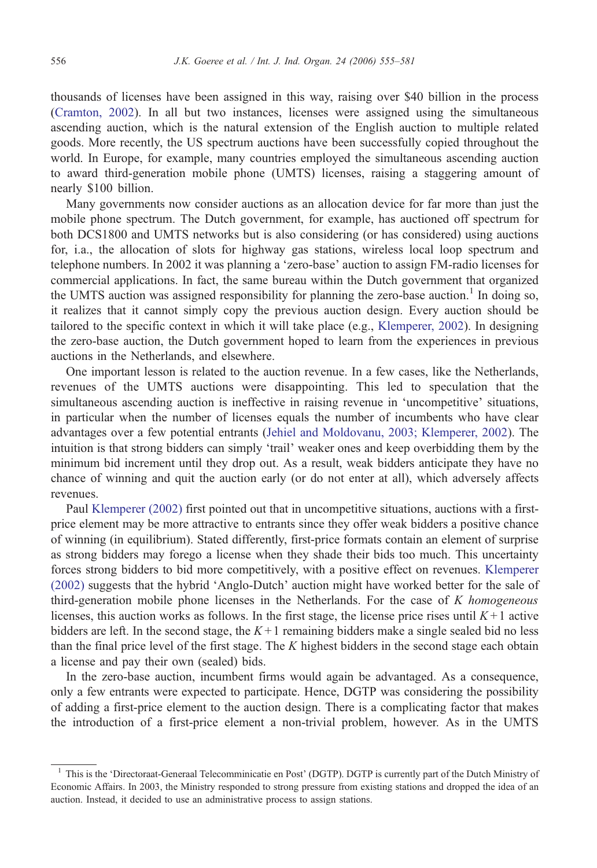thousands of licenses have been assigned in this way, raising over \$40 billion in the process (Cr[amton, 2002\). I](#page-26-0)n all but two instances, licenses were assigned using the simultaneous ascending auction, which is the natural extension of the English auction to multiple related goods. More recently, the US spectrum auctions have been successfully copied throughout the world. In Europe, for example, many countries employed the simultaneous ascending auction to award third-generation mobile phone (UMTS) licenses, raising a staggering amount of nearly \$100 billion.

Many governments now consider auctions as an allocation device for far more than just the mobile phone spectrum. The Dutch government, for example, has auctioned off spectrum for both DCS1800 and UMTS networks but is also considering (or has considered) using auctions for, i.a., the allocation of slots for highway gas stations, wireless local loop spectrum and telephone numbers. In 2002 it was planning a 'zero-base' auction to assign FM-radio licenses for commercial applications. In fact, the same bureau within the Dutch government that organized the UMTS auction was assigned responsibility for planning the zero-base auction.<sup>1</sup> In doing so, it realizes that it cannot simply copy the previous auction design. Every auction should be tailored to the specific context in which it will take place (e.g., Kl[emperer, 2002\). In](#page-26-0) designing the zero-base auction, the Dutch government hoped to learn from the experiences in previous auctions in the Netherlands, and elsewhere.

One important lesson is related to the auction revenue. In a few cases, like the Netherlands, revenues of the UMTS auctions were disappointing. This led to speculation that the simultaneous ascending auction is ineffective in raising revenue in 'uncompetitive' situations, in particular when the number of licenses equals the number of incumbents who have clear advantages over a few potential entrants (Je[hiel and Moldovanu, 2003; Klemperer, 2002\). T](#page-26-0)he intuition is that strong bidders can simply 'trail' weaker ones and keep overbidding them by the minimum bid increment until they drop out. As a result, weak bidders anticipate they have no chance of winning and quit the auction early (or do not enter at all), which adversely affects revenues.

Paul Kl[emperer \(2002\)](#page-26-0) first pointed out that in uncompetitive situations, auctions with a firstprice element may be more attractive to entrants since they offer weak bidders a positive chance of winning (in equilibrium). Stated differently, first-price formats contain an element of surprise as strong bidders may forego a license when they shade their bids too much. This uncertainty forces strong bidders to bid more competitively, with a positive effect on revenues. Kl[emper](#page-26-0)er  $(2002)$  suggests that the hybrid 'Anglo-Dutch' auction might have worked better for the sale of third-generation mobile phone licenses in the Netherlands. For the case of  $K$  homogeneous licenses, this auction works as follows. In the first stage, the license price rises until  $K+1$  active bidders are left. In the second stage, the  $K+1$  remaining bidders make a single sealed bid no less than the final price level of the first stage. The  $K$  highest bidders in the second stage each obtain a license and pay their own (sealed) bids.

In the zero-base auction, incumbent firms would again be advantaged. As a consequence, only a few entrants were expected to participate. Hence, DGTP was considering the possibility of adding a first-price element to the auction design. There is a complicating factor that makes the introduction of a first-price element a non-trivial problem, however. As in the UMTS

<sup>&</sup>lt;sup>1</sup> This is the 'Directoraat-Generaal Telecomminicatie en Post' (DGTP). DGTP is currently part of the Dutch Ministry of Economic Affairs. In 2003, the Ministry responded to strong pressure from existing stations and dropped the idea of an auction. Instead, it decided to use an administrative process to assign stations.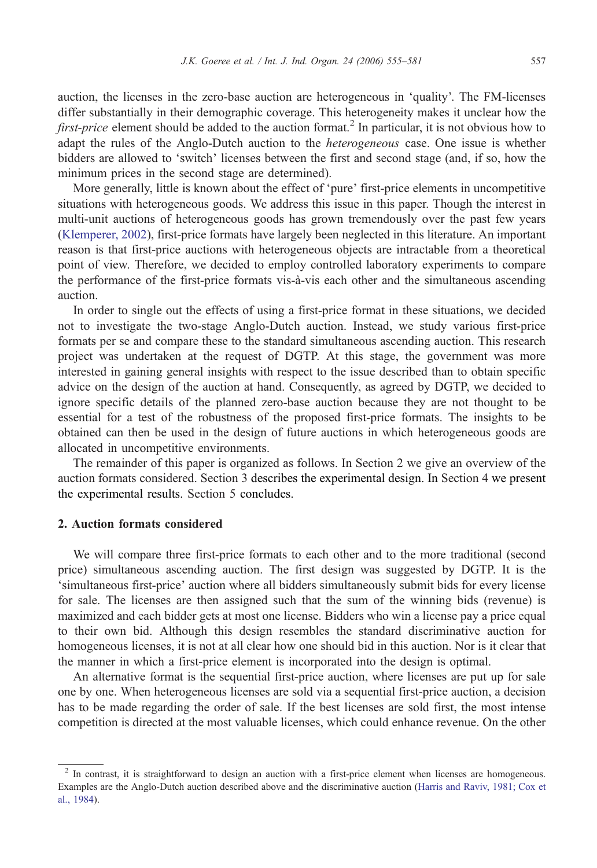auction, the licenses in the zero-base auction are heterogeneous in 'quality'. The FM-licenses differ substantially in their demographic coverage. This heterogeneity makes it unclear how the first-price element should be added to the auction format.<sup>2</sup> In particular, it is not obvious how to adapt the rules of the Anglo-Dutch auction to the heterogeneous case. One issue is whether bidders are allowed to 'switch' licenses between the first and second stage (and, if so, how the minimum prices in the second stage are determined).

More generally, little is known about the effect of 'pure' first-price elements in uncompetitive situations with heterogeneous goods. We address this issue in this paper. Though the interest in multi-unit auctions of heterogeneous goods has grown tremendously over the past few years (Kl[emperer, 2002\), fi](#page-26-0)rst-price formats have largely been neglected in this literature. An important reason is that first-price auctions with heterogeneous objects are intractable from a theoretical point of view. Therefore, we decided to employ controlled laboratory experiments to compare the performance of the first-price formats vis-a`-vis each other and the simultaneous ascending auction.

In order to single out the effects of using a first-price format in these situations, we decided not to investigate the two-stage Anglo-Dutch auction. Instead, we study various first-price formats per se and compare these to the standard simultaneous ascending auction. This research project was undertaken at the request of DGTP. At this stage, the government was more interested in gaining general insights with respect to the issue described than to obtain specific advice on the design of the auction at hand. Consequently, as agreed by DGTP, we decided to ignore specific details of the planned zero-base auction because they are not thought to be essential for a test of the robustness of the proposed first-price formats. The insights to be obtained can then be used in the design of future auctions in which heterogeneous goods are allocated in uncompetitive environments.

The remainder of this paper is organized as follows. In Section 2 we give an overview of the auction formats considered. Section 3 describes the experimental design. In Section 4 we present the experimental results. Section 5 concludes.

# 2. Auction formats considered

We will compare three first-price formats to each other and to the more traditional (second price) simultaneous ascending auction. The first design was suggested by DGTP. It is the 'simultaneous first-price' auction where all bidders simultaneously submit bids for every license for sale. The licenses are then assigned such that the sum of the winning bids (revenue) is maximized and each bidder gets at most one license. Bidders who win a license pay a price equal to their own bid. Although this design resembles the standard discriminative auction for homogeneous licenses, it is not at all clear how one should bid in this auction. Nor is it clear that the manner in which a first-price element is incorporated into the design is optimal.

An alternative format is the sequential first-price auction, where licenses are put up for sale one by one. When heterogeneous licenses are sold via a sequential first-price auction, a decision has to be made regarding the order of sale. If the best licenses are sold first, the most intense competition is directed at the most valuable licenses, which could enhance revenue. On the other

<sup>&</sup>lt;sup>2</sup> In contrast, it is straightforward to design an auction with a first-price element when licenses are homogeneous. Examples are the Anglo-Dutch auction described above and the discriminative auction [\(Harris and Raviv, 1981; Cox et](#page-26-0) al., 1984).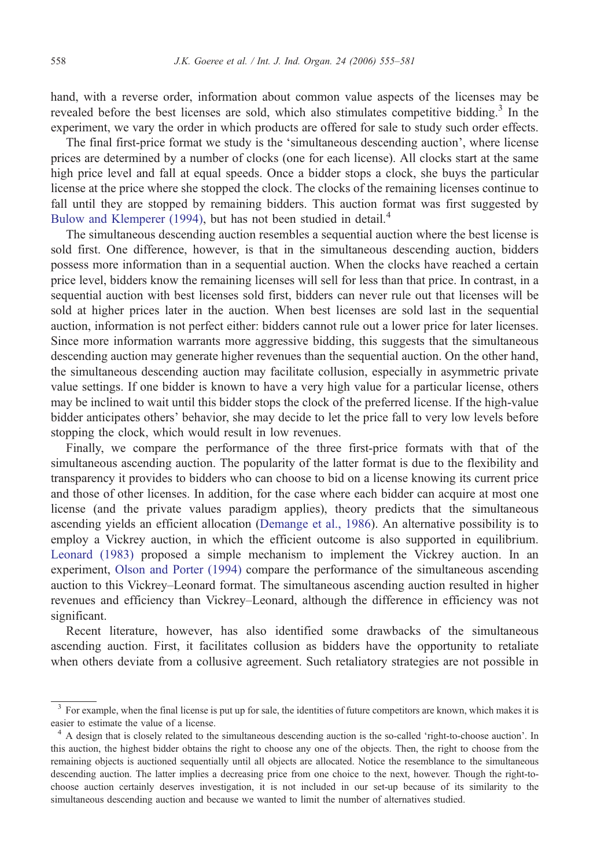hand, with a reverse order, information about common value aspects of the licenses may be revealed before the best licenses are sold, which also stimulates competitive bidding.<sup>3</sup> In the experiment, we vary the order in which products are offered for sale to study such order effects.

The final first-price format we study is the 'simultaneous descending auction', where license prices are determined by a number of clocks (one for each license). All clocks start at the same high price level and fall at equal speeds. Once a bidder stops a clock, she buys the particular license at the price where she stopped the clock. The clocks of the remaining licenses continue to fall until they are stopped by remaining bidders. This auction format was first suggested by Bu[low and Klemperer \(1994\), bu](#page-25-0)t has not been studied in detail.<sup>4</sup>

The simultaneous descending auction resembles a sequential auction where the best license is sold first. One difference, however, is that in the simultaneous descending auction, bidders possess more information than in a sequential auction. When the clocks have reached a certain price level, bidders know the remaining licenses will sell for less than that price. In contrast, in a sequential auction with best licenses sold first, bidders can never rule out that licenses will be sold at higher prices later in the auction. When best licenses are sold last in the sequential auction, information is not perfect either: bidders cannot rule out a lower price for later licenses. Since more information warrants more aggressive bidding, this suggests that the simultaneous descending auction may generate higher revenues than the sequential auction. On the other hand, the simultaneous descending auction may facilitate collusion, especially in asymmetric private value settings. If one bidder is known to have a very high value for a particular license, others may be inclined to wait until this bidder stops the clock of the preferred license. If the high-value bidder anticipates others' behavior, she may decide to let the price fall to very low levels before stopping the clock, which would result in low revenues.

Finally, we compare the performance of the three first-price formats with that of the simultaneous ascending auction. The popularity of the latter format is due to the flexibility and transparency it provides to bidders who can choose to bid on a license knowing its current price and those of other licenses. In addition, for the case where each bidder can acquire at most one license (and the private values paradigm applies), theory predicts that the simultaneous ascending yields an efficient allocation (De[mange et al., 1986\). A](#page-26-0)n alternative possibility is to employ a Vickrey auction, in which the efficient outcome is also supported in equilibrium. Le[onard \(1983\)](#page-26-0) proposed a simple mechanism to implement the Vickrey auction. In an experiment, Ol[son and Porter \(1994\)](#page-26-0) compare the performance of the simultaneous ascending auction to this Vickrey–Leonard format. The simultaneous ascending auction resulted in higher revenues and efficiency than Vickrey–Leonard, although the difference in efficiency was not significant.

Recent literature, however, has also identified some drawbacks of the simultaneous ascending auction. First, it facilitates collusion as bidders have the opportunity to retaliate when others deviate from a collusive agreement. Such retaliatory strategies are not possible in

<sup>&</sup>lt;sup>3</sup> For example, when the final license is put up for sale, the identities of future competitors are known, which makes it is easier to estimate the value of a license.

 $<sup>4</sup>$  A design that is closely related to the simultaneous descending auction is the so-called 'right-to-choose auction'. In</sup> this auction, the highest bidder obtains the right to choose any one of the objects. Then, the right to choose from the remaining objects is auctioned sequentially until all objects are allocated. Notice the resemblance to the simultaneous descending auction. The latter implies a decreasing price from one choice to the next, however. Though the right-tochoose auction certainly deserves investigation, it is not included in our set-up because of its similarity to the simultaneous descending auction and because we wanted to limit the number of alternatives studied.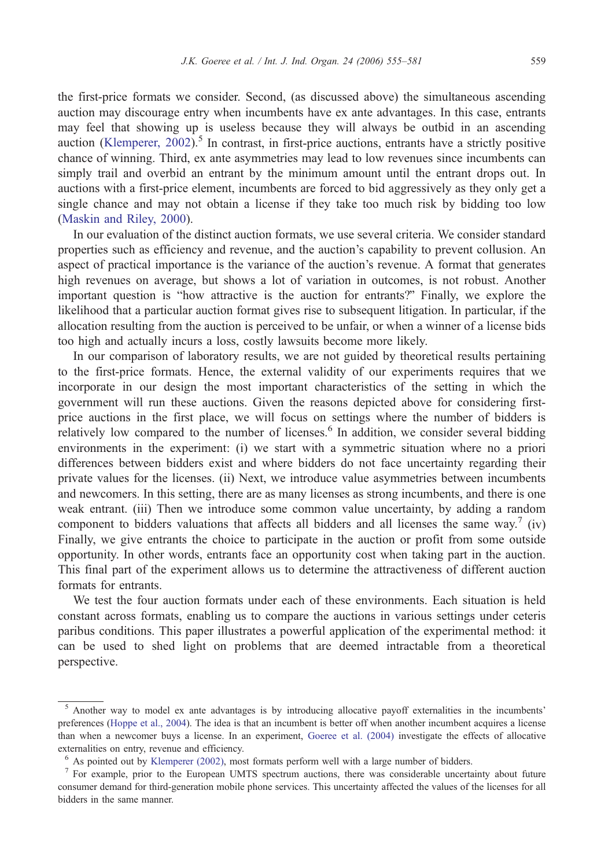the first-price formats we consider. Second, (as discussed above) the simultaneous ascending auction may discourage entry when incumbents have ex ante advantages. In this case, entrants may feel that showing up is useless because they will always be outbid in an ascending auction (Kl[emperer, 2002\).](#page-26-0)<sup>5</sup> In contrast, in first-price auctions, entrants have a strictly positive chance of winning. Third, ex ante asymmetries may lead to low revenues since incumbents can simply trail and overbid an entrant by the minimum amount until the entrant drops out. In auctions with a first-price element, incumbents are forced to bid aggressively as they only get a single chance and may not obtain a license if they take too much risk by bidding too low (M[askin and Riley, 2000\).](#page-26-0)

In our evaluation of the distinct auction formats, we use several criteria. We consider standard properties such as efficiency and revenue, and the auction's capability to prevent collusion. An aspect of practical importance is the variance of the auction's revenue. A format that generates high revenues on average, but shows a lot of variation in outcomes, is not robust. Another important question is "how attractive is the auction for entrants?" Finally, we explore the likelihood that a particular auction format gives rise to subsequent litigation. In particular, if the allocation resulting from the auction is perceived to be unfair, or when a winner of a license bids too high and actually incurs a loss, costly lawsuits become more likely.

In our comparison of laboratory results, we are not guided by theoretical results pertaining to the first-price formats. Hence, the external validity of our experiments requires that we incorporate in our design the most important characteristics of the setting in which the government will run these auctions. Given the reasons depicted above for considering firstprice auctions in the first place, we will focus on settings where the number of bidders is relatively low compared to the number of licenses.<sup>6</sup> In addition, we consider several bidding environments in the experiment: (i) we start with a symmetric situation where no a priori differences between bidders exist and where bidders do not face uncertainty regarding their private values for the licenses. (ii) Next, we introduce value asymmetries between incumbents and newcomers. In this setting, there are as many licenses as strong incumbents, and there is one weak entrant. (iii) Then we introduce some common value uncertainty, by adding a random component to bidders valuations that affects all bidders and all licenses the same way.<sup>7</sup> (iv) Finally, we give entrants the choice to participate in the auction or profit from some outside opportunity. In other words, entrants face an opportunity cost when taking part in the auction. This final part of the experiment allows us to determine the attractiveness of different auction formats for entrants.

We test the four auction formats under each of these environments. Each situation is held constant across formats, enabling us to compare the auctions in various settings under ceteris paribus conditions. This paper illustrates a powerful application of the experimental method: it can be used to shed light on problems that are deemed intractable from a theoretical perspective.

<sup>5</sup> Another way to model ex ante advantages is by introducing allocative payoff externalities in the incumbents' preferences (Ho[ppe et al., 2004\). Th](#page-26-0)e idea is that an incumbent is better off when another incumbent acquires a license than when a newcomer buys a license. In an experiment, Go[eree et al. \(2004\)](#page-26-0) investigate the effects of allocative externalities on entry, revenue and efficiency.

 $6$  As pointed out by Kle[mperer \(2002\), mo](#page-26-0)st formats perform well with a large number of bidders.<br><sup>7</sup> For example, prior to the European UMTS spectrum auctions, there was considerable uncertainty about future consumer demand for third-generation mobile phone services. This uncertainty affected the values of the licenses for all bidders in the same manner.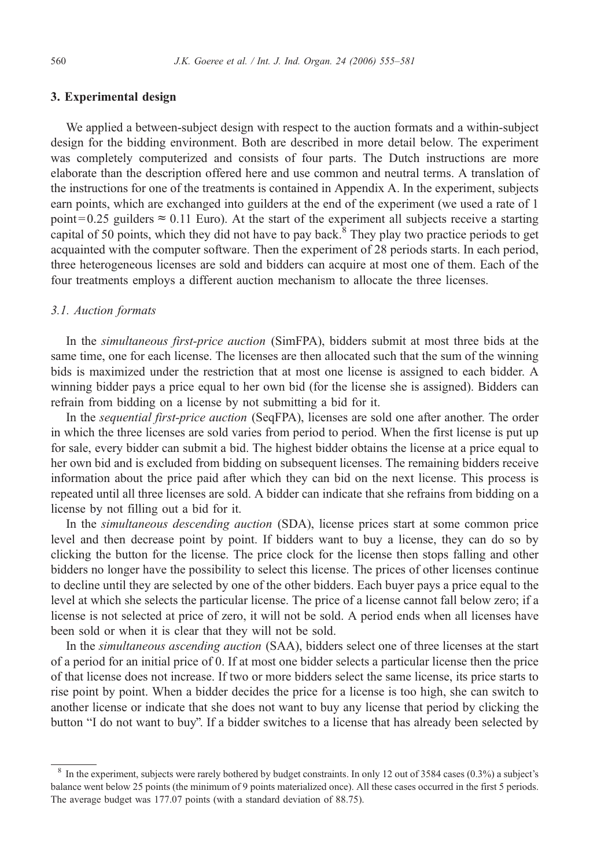## 3. Experimental design

We applied a between-subject design with respect to the auction formats and a within-subject design for the bidding environment. Both are described in more detail below. The experiment was completely computerized and consists of four parts. The Dutch instructions are more elaborate than the description offered here and use common and neutral terms. A translation of the instructions for one of the treatments is contained in Appendix A. In the experiment, subjects earn points, which are exchanged into guilders at the end of the experiment (we used a rate of 1 point = 0.25 guilders  $\approx$  0.11 Euro). At the start of the experiment all subjects receive a starting capital of 50 points, which they did not have to pay back.<sup>8</sup> They play two practice periods to get acquainted with the computer software. Then the experiment of 28 periods starts. In each period, three heterogeneous licenses are sold and bidders can acquire at most one of them. Each of the four treatments employs a different auction mechanism to allocate the three licenses.

#### 3.1. Auction formats

In the simultaneous first-price auction (SimFPA), bidders submit at most three bids at the same time, one for each license. The licenses are then allocated such that the sum of the winning bids is maximized under the restriction that at most one license is assigned to each bidder. A winning bidder pays a price equal to her own bid (for the license she is assigned). Bidders can refrain from bidding on a license by not submitting a bid for it.

In the sequential first-price auction (SeqFPA), licenses are sold one after another. The order in which the three licenses are sold varies from period to period. When the first license is put up for sale, every bidder can submit a bid. The highest bidder obtains the license at a price equal to her own bid and is excluded from bidding on subsequent licenses. The remaining bidders receive information about the price paid after which they can bid on the next license. This process is repeated until all three licenses are sold. A bidder can indicate that she refrains from bidding on a license by not filling out a bid for it.

In the simultaneous descending auction (SDA), license prices start at some common price level and then decrease point by point. If bidders want to buy a license, they can do so by clicking the button for the license. The price clock for the license then stops falling and other bidders no longer have the possibility to select this license. The prices of other licenses continue to decline until they are selected by one of the other bidders. Each buyer pays a price equal to the level at which she selects the particular license. The price of a license cannot fall below zero; if a license is not selected at price of zero, it will not be sold. A period ends when all licenses have been sold or when it is clear that they will not be sold.

In the simultaneous ascending auction (SAA), bidders select one of three licenses at the start of a period for an initial price of 0. If at most one bidder selects a particular license then the price of that license does not increase. If two or more bidders select the same license, its price starts to rise point by point. When a bidder decides the price for a license is too high, she can switch to another license or indicate that she does not want to buy any license that period by clicking the button "I do not want to buy". If a bidder switches to a license that has already been selected by

<sup>8</sup> In the experiment, subjects were rarely bothered by budget constraints. In only 12 out of 3584 cases (0.3%) a subject's balance went below 25 points (the minimum of 9 points materialized once). All these cases occurred in the first 5 periods. The average budget was 177.07 points (with a standard deviation of 88.75).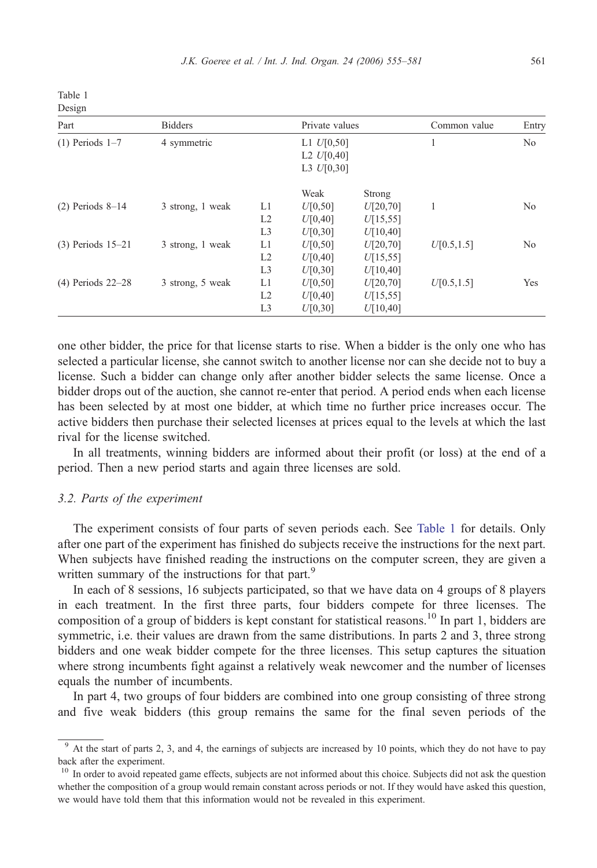| . .<br>v<br>M.<br>٠ |  |
|---------------------|--|
|                     |  |

| Part                | <b>Bidders</b>   |                | Private values |          | Common value | Entry          |
|---------------------|------------------|----------------|----------------|----------|--------------|----------------|
| $(1)$ Periods 1-7   | 4 symmetric      |                | L1 $U[0,50]$   |          |              | N <sub>0</sub> |
|                     |                  |                | L2 $U[0,40]$   |          |              |                |
|                     |                  |                | L3 $U[0,30]$   |          |              |                |
|                     |                  |                | Weak           | Strong   |              |                |
| $(2)$ Periods 8-14  | 3 strong, 1 weak | L1             | U[0, 50]       | U[20,70] | 1            | N <sub>0</sub> |
|                     |                  | L2             | U[0,40]        | U[15,55] |              |                |
|                     |                  | L <sub>3</sub> | U[0,30]        | U[10,40] |              |                |
| $(3)$ Periods 15-21 | 3 strong, 1 weak | L1             | U[0, 50]       | U[20,70] | U[0.5, 1.5]  | No             |
|                     |                  | L2             | U[0,40]        | U[15,55] |              |                |
|                     |                  | L <sub>3</sub> | U[0,30]        | U[10,40] |              |                |
| $(4)$ Periods 22–28 | 3 strong, 5 weak | L1             | U[0, 50]       | U[20,70] | U[0.5, 1.5]  | Yes            |
|                     |                  | L2             | U[0,40]        | U[15,55] |              |                |
|                     |                  | L <sub>3</sub> | U[0,30]        | U[10,40] |              |                |

one other bidder, the price for that license starts to rise. When a bidder is the only one who has selected a particular license, she cannot switch to another license nor can she decide not to buy a license. Such a bidder can change only after another bidder selects the same license. Once a bidder drops out of the auction, she cannot re-enter that period. A period ends when each license has been selected by at most one bidder, at which time no further price increases occur. The active bidders then purchase their selected licenses at prices equal to the levels at which the last rival for the license switched.

In all treatments, winning bidders are informed about their profit (or loss) at the end of a period. Then a new period starts and again three licenses are sold.

## 3.2. Parts of the experiment

The experiment consists of four parts of seven periods each. See Table 1 for details. Only after one part of the experiment has finished do subjects receive the instructions for the next part. When subjects have finished reading the instructions on the computer screen, they are given a written summary of the instructions for that part.<sup>9</sup>

In each of 8 sessions, 16 subjects participated, so that we have data on 4 groups of 8 players in each treatment. In the first three parts, four bidders compete for three licenses. The composition of a group of bidders is kept constant for statistical reasons.<sup>10</sup> In part 1, bidders are symmetric, i.e. their values are drawn from the same distributions. In parts 2 and 3, three strong bidders and one weak bidder compete for the three licenses. This setup captures the situation where strong incumbents fight against a relatively weak newcomer and the number of licenses equals the number of incumbents.

In part 4, two groups of four bidders are combined into one group consisting of three strong and five weak bidders (this group remains the same for the final seven periods of the

<sup>9</sup> At the start of parts 2, 3, and 4, the earnings of subjects are increased by 10 points, which they do not have to pay back after the experiment.

<sup>&</sup>lt;sup>10</sup> In order to avoid repeated game effects, subjects are not informed about this choice. Subjects did not ask the question whether the composition of a group would remain constant across periods or not. If they would have asked this question, we would have told them that this information would not be revealed in this experiment.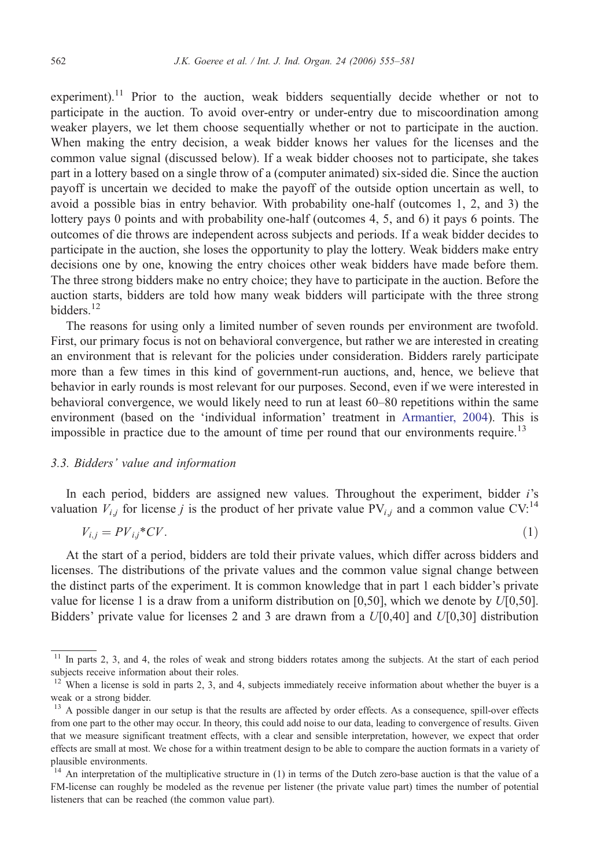experiment).<sup>11</sup> Prior to the auction, weak bidders sequentially decide whether or not to participate in the auction. To avoid over-entry or under-entry due to miscoordination among weaker players, we let them choose sequentially whether or not to participate in the auction. When making the entry decision, a weak bidder knows her values for the licenses and the common value signal (discussed below). If a weak bidder chooses not to participate, she takes part in a lottery based on a single throw of a (computer animated) six-sided die. Since the auction payoff is uncertain we decided to make the payoff of the outside option uncertain as well, to avoid a possible bias in entry behavior. With probability one-half (outcomes 1, 2, and 3) the lottery pays 0 points and with probability one-half (outcomes 4, 5, and 6) it pays 6 points. The outcomes of die throws are independent across subjects and periods. If a weak bidder decides to participate in the auction, she loses the opportunity to play the lottery. Weak bidders make entry decisions one by one, knowing the entry choices other weak bidders have made before them. The three strong bidders make no entry choice; they have to participate in the auction. Before the auction starts, bidders are told how many weak bidders will participate with the three strong bidders<sup>12</sup>

The reasons for using only a limited number of seven rounds per environment are twofold. First, our primary focus is not on behavioral convergence, but rather we are interested in creating an environment that is relevant for the policies under consideration. Bidders rarely participate more than a few times in this kind of government-run auctions, and, hence, we believe that behavior in early rounds is most relevant for our purposes. Second, even if we were interested in behavioral convergence, we would likely need to run at least 60–80 repetitions within the same environment (based on the 'individual information' treatment in Ar[mantier, 2004\). T](#page-25-0)his is impossible in practice due to the amount of time per round that our environments require.<sup>13</sup>

## 3.3. Bidders' value and information

In each period, bidders are assigned new values. Throughout the experiment, bidder i's valuation  $V_{i,j}$  for license j is the product of her private value PV<sub>ij</sub> and a common value CV:<sup>14</sup>

$$
V_{i,j} = PV_{ij} * CV.
$$
\n<sup>(1)</sup>

At the start of a period, bidders are told their private values, which differ across bidders and licenses. The distributions of the private values and the common value signal change between the distinct parts of the experiment. It is common knowledge that in part 1 each bidder's private value for license 1 is a draw from a uniform distribution on  $[0,50]$ , which we denote by  $U[0,50]$ . Bidders' private value for licenses 2 and 3 are drawn from a  $U[0,40]$  and  $U[0,30]$  distribution

<sup>&</sup>lt;sup>11</sup> In parts 2, 3, and 4, the roles of weak and strong bidders rotates among the subjects. At the start of each period subjects receive information about their roles.

<sup>&</sup>lt;sup>12</sup> When a license is sold in parts 2, 3, and 4, subjects immediately receive information about whether the buyer is a weak or a strong bidder.

<sup>&</sup>lt;sup>13</sup> A possible danger in our setup is that the results are affected by order effects. As a consequence, spill-over effects from one part to the other may occur. In theory, this could add noise to our data, leading to convergence of results. Given that we measure significant treatment effects, with a clear and sensible interpretation, however, we expect that order effects are small at most. We chose for a within treatment design to be able to compare the auction formats in a variety of plausible environments.

<sup>&</sup>lt;sup>14</sup> An interpretation of the multiplicative structure in (1) in terms of the Dutch zero-base auction is that the value of a FM-license can roughly be modeled as the revenue per listener (the private value part) times the number of potential listeners that can be reached (the common value part).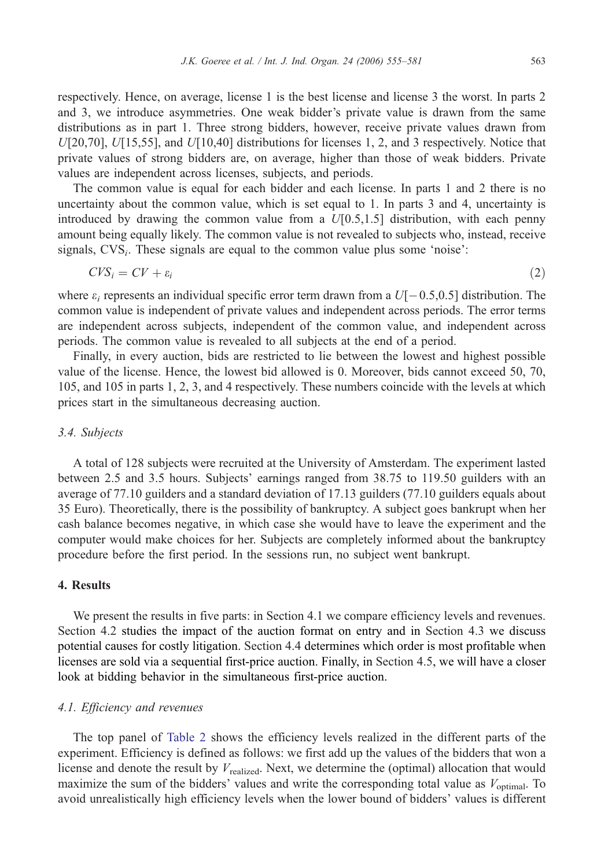respectively. Hence, on average, license 1 is the best license and license 3 the worst. In parts 2 and 3, we introduce asymmetries. One weak bidder's private value is drawn from the same distributions as in part 1. Three strong bidders, however, receive private values drawn from  $U[20,70]$ ,  $U[15,55]$ , and  $U[10,40]$  distributions for licenses 1, 2, and 3 respectively. Notice that private values of strong bidders are, on average, higher than those of weak bidders. Private values are independent across licenses, subjects, and periods.

The common value is equal for each bidder and each license. In parts 1 and 2 there is no uncertainty about the common value, which is set equal to 1. In parts 3 and 4, uncertainty is introduced by drawing the common value from a  $U[0.5,1.5]$  distribution, with each penny amount being equally likely. The common value is not revealed to subjects who, instead, receive signals,  $CVS_i$ . These signals are equal to the common value plus some 'noise':

 $CVS_i = CV + \varepsilon_i$  (2)

where  $\varepsilon_i$  represents an individual specific error term drawn from a  $U[-0.5,0.5]$  distribution. The common value is independent of private values and independent across periods. The error terms are independent across subjects, independent of the common value, and independent across periods. The common value is revealed to all subjects at the end of a period.

Finally, in every auction, bids are restricted to lie between the lowest and highest possible value of the license. Hence, the lowest bid allowed is 0. Moreover, bids cannot exceed 50, 70, 105, and 105 in parts 1, 2, 3, and 4 respectively. These numbers coincide with the levels at which prices start in the simultaneous decreasing auction.

#### 3.4. Subjects

A total of 128 subjects were recruited at the University of Amsterdam. The experiment lasted between 2.5 and 3.5 hours. Subjects' earnings ranged from 38.75 to 119.50 guilders with an average of 77.10 guilders and a standard deviation of 17.13 guilders (77.10 guilders equals about 35 Euro). Theoretically, there is the possibility of bankruptcy. A subject goes bankrupt when her cash balance becomes negative, in which case she would have to leave the experiment and the computer would make choices for her. Subjects are completely informed about the bankruptcy procedure before the first period. In the sessions run, no subject went bankrupt.

## 4. Results

We present the results in five parts: in Section 4.1 we compare efficiency levels and revenues. Section 4.2 studies the impact of the auction format on entry and in Section 4.3 we discuss potential causes for costly litigation. Section 4.4 determines which order is most profitable when licenses are sold via a sequential first-price auction. Finally, in Section 4.5, we will have a closer look at bidding behavior in the simultaneous first-price auction.

## 4.1. Efficiency and revenues

The top panel of Ta[ble 2](#page-9-0) shows the efficiency levels realized in the different parts of the experiment. Efficiency is defined as follows: we first add up the values of the bidders that won a license and denote the result by Vrealized. Next, we determine the (optimal) allocation that would maximize the sum of the bidders' values and write the corresponding total value as  $V_{\text{optimal}}$ . To avoid unrealistically high efficiency levels when the lower bound of bidders' values is different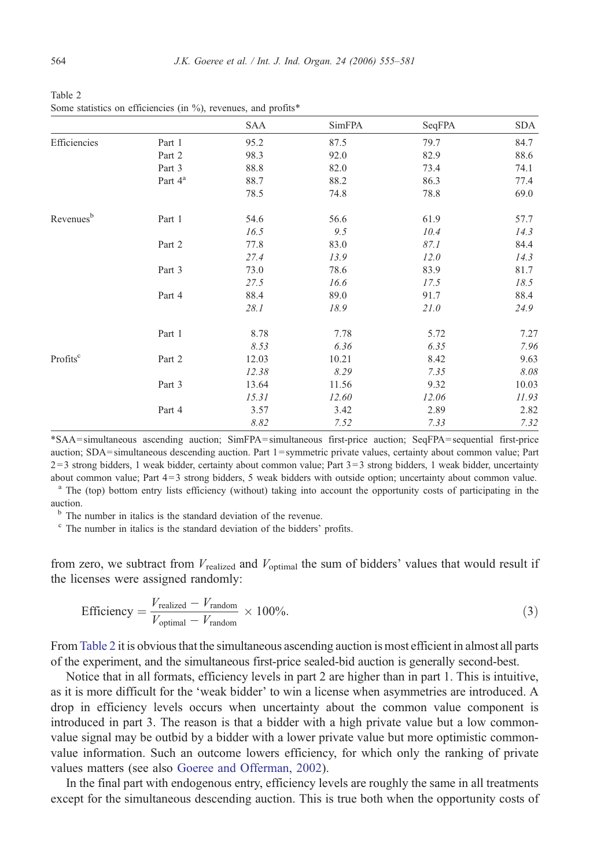|                      |                     | <b>SAA</b> | SimFPA | SeqFPA | <b>SDA</b> |
|----------------------|---------------------|------------|--------|--------|------------|
| Efficiencies         | Part 1              | 95.2       | 87.5   | 79.7   | 84.7       |
|                      | Part 2              | 98.3       | 92.0   | 82.9   | 88.6       |
|                      | Part 3              | 88.8       | 82.0   | 73.4   | 74.1       |
|                      | Part 4 <sup>a</sup> | 88.7       | 88.2   | 86.3   | 77.4       |
|                      |                     | 78.5       | 74.8   | 78.8   | 69.0       |
| Revenuesb            | Part 1              | 54.6       | 56.6   | 61.9   | 57.7       |
|                      |                     | 16.5       | 9.5    | 10.4   | 14.3       |
|                      | Part 2              | 77.8       | 83.0   | 87.1   | 84.4       |
|                      |                     | 27.4       | 13.9   | 12.0   | 14.3       |
|                      | Part 3              | 73.0       | 78.6   | 83.9   | 81.7       |
|                      |                     | 27.5       | 16.6   | 17.5   | 18.5       |
|                      | Part 4              | 88.4       | 89.0   | 91.7   | 88.4       |
|                      |                     | 28.1       | 18.9   | 21.0   | 24.9       |
|                      | Part 1              | 8.78       | 7.78   | 5.72   | 7.27       |
|                      |                     | 8.53       | 6.36   | 6.35   | 7.96       |
| Profits <sup>c</sup> | Part 2              | 12.03      | 10.21  | 8.42   | 9.63       |
|                      |                     | 12.38      | 8.29   | 7.35   | 8.08       |
|                      | Part 3              | 13.64      | 11.56  | 9.32   | 10.03      |
|                      |                     | 15.31      | 12.60  | 12.06  | 11.93      |
|                      | Part 4              | 3.57       | 3.42   | 2.89   | 2.82       |
|                      |                     | 8.82       | 7.52   | 7.33   | 7.32       |

<span id="page-9-0"></span>Table 2 Some statistics on efficiencies (in %), revenues, and profits\*

\*SAA= simultaneous ascending auction; SimFPA= simultaneous first-price auction; SeqFPA= sequential first-price auction; SDA= simultaneous descending auction. Part 1 = symmetric private values, certainty about common value; Part  $2=3$  strong bidders, 1 weak bidder, certainty about common value; Part  $3=3$  strong bidders, 1 weak bidder, uncertainty about common value; Part 4=3 strong bidders, 5 weak bidders with outside option; uncertainty about common value.

<sup>a</sup> The (top) bottom entry lists efficiency (without) taking into account the opportunity costs of participating in the auction.

<sup>b</sup> The number in italics is the standard deviation of the revenue.

<sup>c</sup> The number in italics is the standard deviation of the bidders' profits.

from zero, we subtract from  $V_{\text{realized}}$  and  $V_{\text{optimal}}$  the sum of bidders' values that would result if the licenses were assigned randomly:

Efficiency = 
$$
\frac{V_{\text{realized}} - V_{\text{random}}}{V_{\text{optimal}} - V_{\text{random}}}
$$
 × 100%. (3)

From Table 2 it is obvious that the simultaneous ascending auction is most efficient in almost all parts of the experiment, and the simultaneous first-price sealed-bid auction is generally second-best.

Notice that in all formats, efficiency levels in part 2 are higher than in part 1. This is intuitive, as it is more difficult for the 'weak bidder' to win a license when asymmetries are introduced. A drop in efficiency levels occurs when uncertainty about the common value component is introduced in part 3. The reason is that a bidder with a high private value but a low commonvalue signal may be outbid by a bidder with a lower private value but more optimistic commonvalue information. Such an outcome lowers efficiency, for which only the ranking of private values matters (see also Go[eree and Offerman, 2002\).](#page-26-0)

In the final part with endogenous entry, efficiency levels are roughly the same in all treatments except for the simultaneous descending auction. This is true both when the opportunity costs of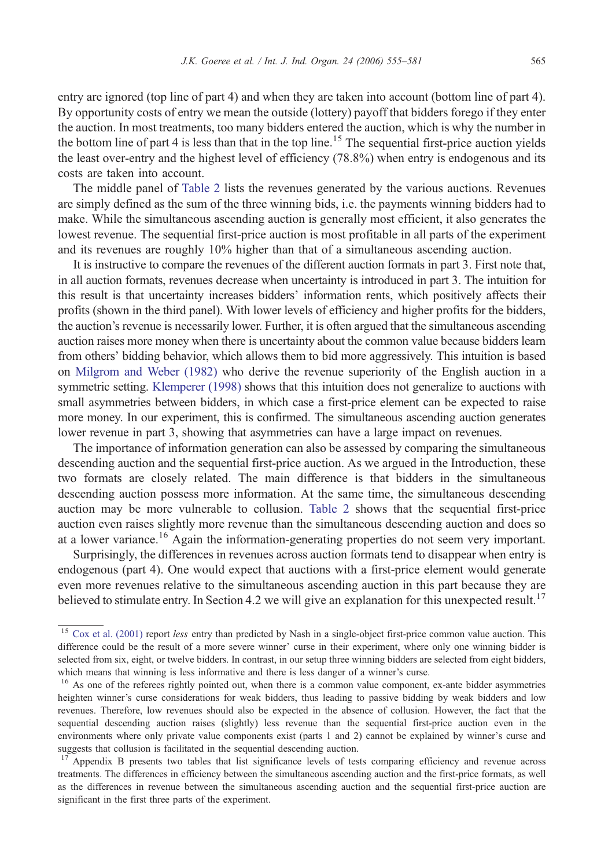entry are ignored (top line of part 4) and when they are taken into account (bottom line of part 4). By opportunity costs of entry we mean the outside (lottery) payoff that bidders forego if they enter the auction. In most treatments, too many bidders entered the auction, which is why the number in the bottom line of part 4 is less than that in the top line.<sup>15</sup> The sequential first-price auction yields the least over-entry and the highest level of efficiency (78.8%) when entry is endogenous and its costs are taken into account.

The middle panel of Ta[ble 2](#page-9-0) lists the revenues generated by the various auctions. Revenues are simply defined as the sum of the three winning bids, i.e. the payments winning bidders had to make. While the simultaneous ascending auction is generally most efficient, it also generates the lowest revenue. The sequential first-price auction is most profitable in all parts of the experiment and its revenues are roughly 10% higher than that of a simultaneous ascending auction.

It is instructive to compare the revenues of the different auction formats in part 3. First note that, in all auction formats, revenues decrease when uncertainty is introduced in part 3. The intuition for this result is that uncertainty increases bidders' information rents, which positively affects their profits (shown in the third panel). With lower levels of efficiency and higher profits for the bidders, the auction's revenue is necessarily lower. Further, it is often argued that the simultaneous ascending auction raises more money when there is uncertainty about the common value because bidders learn from others' bidding behavior, which allows them to bid more aggressively. This intuition is based on Mi[lgrom and Weber \(1982\)](#page-26-0) who derive the revenue superiority of the English auction in a symmetric setting. Kl[emperer \(1998\)](#page-26-0) shows that this intuition does not generalize to auctions with small asymmetries between bidders, in which case a first-price element can be expected to raise more money. In our experiment, this is confirmed. The simultaneous ascending auction generates lower revenue in part 3, showing that asymmetries can have a large impact on revenues.

The importance of information generation can also be assessed by comparing the simultaneous descending auction and the sequential first-price auction. As we argued in the Introduction, these two formats are closely related. The main difference is that bidders in the simultaneous descending auction possess more information. At the same time, the simultaneous descending auction may be more vulnerable to collusion. Ta[ble 2](#page-9-0) shows that the sequential first-price auction even raises slightly more revenue than the simultaneous descending auction and does so at a lower variance.<sup>16</sup> Again the information-generating properties do not seem very important.

Surprisingly, the differences in revenues across auction formats tend to disappear when entry is endogenous (part 4). One would expect that auctions with a first-price element would generate even more revenues relative to the simultaneous ascending auction in this part because they are believed to stimulate entry. In Section 4.2 we will give an explanation for this unexpected result.<sup>17</sup>

<sup>&</sup>lt;sup>15</sup> Co[x et al. \(2001\)](#page-26-0) report less entry than predicted by Nash in a single-object first-price common value auction. This difference could be the result of a more severe winner' curse in their experiment, where only one winning bidder is selected from six, eight, or twelve bidders. In contrast, in our setup three winning bidders are selected from eight bidders, which means that winning is less informative and there is less danger of a winner's curse.

<sup>&</sup>lt;sup>16</sup> As one of the referees rightly pointed out, when there is a common value component, ex-ante bidder asymmetries heighten winner's curse considerations for weak bidders, thus leading to passive bidding by weak bidders and low revenues. Therefore, low revenues should also be expected in the absence of collusion. However, the fact that the sequential descending auction raises (slightly) less revenue than the sequential first-price auction even in the environments where only private value components exist (parts 1 and 2) cannot be explained by winner's curse and suggests that collusion is facilitated in the sequential descending auction.

<sup>&</sup>lt;sup>17</sup> Appendix B presents two tables that list significance levels of tests comparing efficiency and revenue across treatments. The differences in efficiency between the simultaneous ascending auction and the first-price formats, as well as the differences in revenue between the simultaneous ascending auction and the sequential first-price auction are significant in the first three parts of the experiment.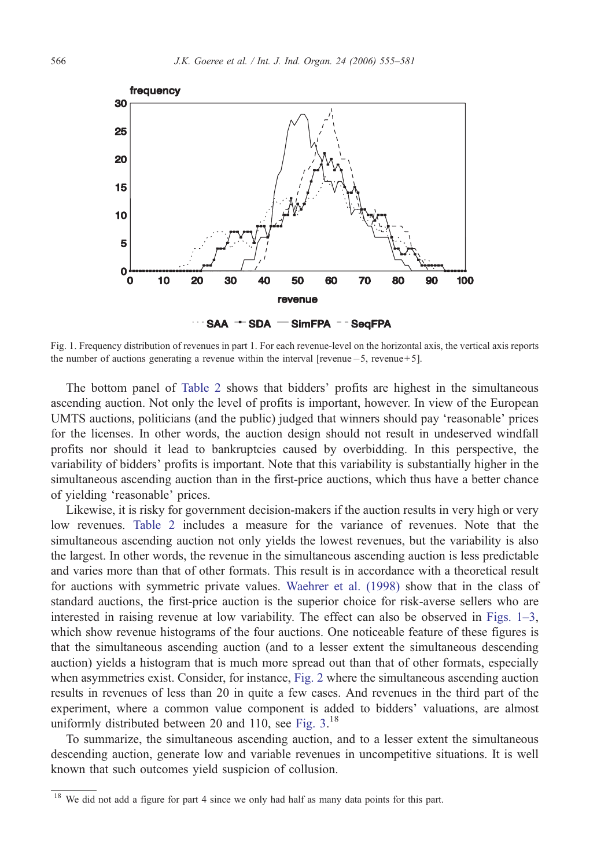

Fig. 1. Frequency distribution of revenues in part 1. For each revenue-level on the horizontal axis, the vertical axis reports the number of auctions generating a revenue within the interval [revenue  $-5$ , revenue  $+5$ ].

The bottom panel of Ta[ble 2](#page-9-0) shows that bidders' profits are highest in the simultaneous ascending auction. Not only the level of profits is important, however. In view of the European UMTS auctions, politicians (and the public) judged that winners should pay 'reasonable' prices for the licenses. In other words, the auction design should not result in undeserved windfall profits nor should it lead to bankruptcies caused by overbidding. In this perspective, the variability of bidders' profits is important. Note that this variability is substantially higher in the simultaneous ascending auction than in the first-price auctions, which thus have a better chance of yielding 'reasonable' prices.

Likewise, it is risky for government decision-makers if the auction results in very high or very low revenues. Ta[ble 2](#page-9-0) includes a measure for the variance of revenues. Note that the simultaneous ascending auction not only yields the lowest revenues, but the variability is also the largest. In other words, the revenue in the simultaneous ascending auction is less predictable and varies more than that of other formats. This result is in accordance with a theoretical result for auctions with symmetric private values. Wa[ehrer et al. \(1998\)](#page-26-0) show that in the class of standard auctions, the first-price auction is the superior choice for risk-averse sellers who are interested in raising revenue at low variability. The effect can also be observed in Figs. 1–3, which show revenue histograms of the four auctions. One noticeable feature of these figures is that the simultaneous ascending auction (and to a lesser extent the simultaneous descending auction) yields a histogram that is much more spread out than that of other formats, especially when asymmetries exist. Consider, for instance, Fig. 2 [wh](#page-12-0)ere the simultaneous ascending auction results in revenues of less than 20 in quite a few cases. And revenues in the third part of the experiment, where a common value component is added to bidders' valuations, are almost uniformly distributed between 20 and 110, see Fig.  $3.^{18}$ 

To summarize, the simultaneous ascending auction, and to a lesser extent the simultaneous descending auction, generate low and variable revenues in uncompetitive situations. It is well known that such outcomes yield suspicion of collusion.

<sup>&</sup>lt;sup>18</sup> We did not add a figure for part 4 since we only had half as many data points for this part.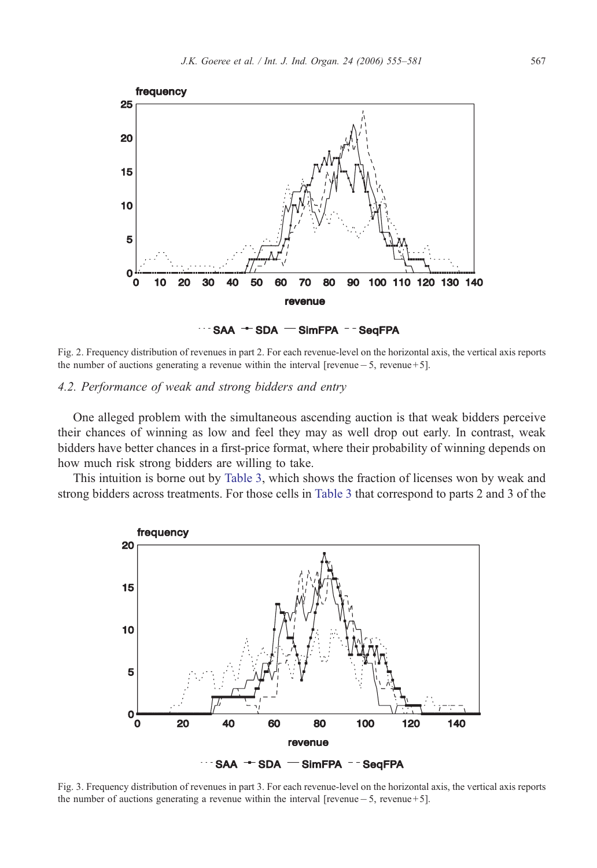<span id="page-12-0"></span>

Fig. 2. Frequency distribution of revenues in part 2. For each revenue-level on the horizontal axis, the vertical axis reports the number of auctions generating a revenue within the interval [revenue  $-5$ , revenue  $+5$ ].

#### 4.2. Performance of weak and strong bidders and entry

One alleged problem with the simultaneous ascending auction is that weak bidders perceive their chances of winning as low and feel they may as well drop out early. In contrast, weak bidders have better chances in a first-price format, where their probability of winning depends on how much risk strong bidders are willing to take.

This intuition is borne out by Ta[ble 3, wh](#page-13-0)ich shows the fraction of licenses won by weak and strong bidders across treatments. For those cells in Ta[ble 3](#page-13-0) that correspond to parts 2 and 3 of the



Fig. 3. Frequency distribution of revenues in part 3. For each revenue-level on the horizontal axis, the vertical axis reports the number of auctions generating a revenue within the interval [revenue  $-5$ , revenue  $+5$ ].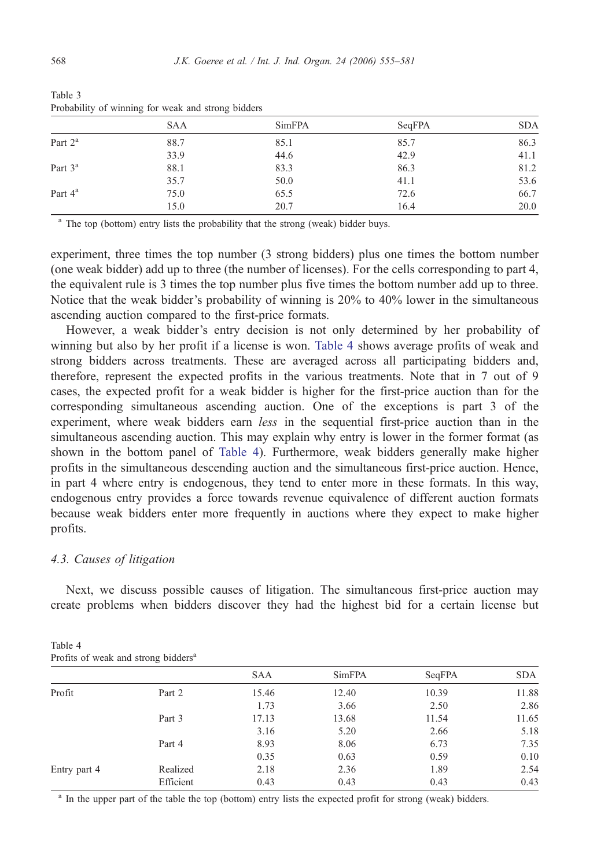|            | ັ<br>Ë     |               |        |            |
|------------|------------|---------------|--------|------------|
|            | <b>SAA</b> | <b>SimFPA</b> | SeqFPA | <b>SDA</b> |
| Part $2^a$ | 88.7       | 85.1          | 85.7   | 86.3       |
|            | 33.9       | 44.6          | 42.9   | 41.1       |
| Part $3^a$ | 88.1       | 83.3          | 86.3   | 81.2       |
|            | 35.7       | 50.0          | 41.1   | 53.6       |
| Part $4^a$ | 75.0       | 65.5          | 72.6   | 66.7       |
|            | 15.0       | 20.7          | 16.4   | 20.0       |

<span id="page-13-0"></span>Table 3 Probability of winning for weak and strong bidders

<sup>a</sup> The top (bottom) entry lists the probability that the strong (weak) bidder buys.

experiment, three times the top number (3 strong bidders) plus one times the bottom number (one weak bidder) add up to three (the number of licenses). For the cells corresponding to part 4, the equivalent rule is 3 times the top number plus five times the bottom number add up to three. Notice that the weak bidder's probability of winning is 20% to 40% lower in the simultaneous ascending auction compared to the first-price formats.

However, a weak bidder's entry decision is not only determined by her probability of winning but also by her profit if a license is won. Table 4 shows average profits of weak and strong bidders across treatments. These are averaged across all participating bidders and, therefore, represent the expected profits in the various treatments. Note that in 7 out of 9 cases, the expected profit for a weak bidder is higher for the first-price auction than for the corresponding simultaneous ascending auction. One of the exceptions is part 3 of the experiment, where weak bidders earn *less* in the sequential first-price auction than in the simultaneous ascending auction. This may explain why entry is lower in the former format (as shown in the bottom panel of Table 4). Furthermore, weak bidders generally make higher profits in the simultaneous descending auction and the simultaneous first-price auction. Hence, in part 4 where entry is endogenous, they tend to enter more in these formats. In this way, endogenous entry provides a force towards revenue equivalence of different auction formats because weak bidders enter more frequently in auctions where they expect to make higher profits.

# 4.3. Causes of litigation

Next, we discuss possible causes of litigation. The simultaneous first-price auction may create problems when bidders discover they had the highest bid for a certain license but

|              |           | <b>SAA</b> | SimFPA | SeqFPA | <b>SDA</b> |
|--------------|-----------|------------|--------|--------|------------|
| Profit       | Part 2    | 15.46      | 12.40  | 10.39  | 11.88      |
|              |           | 1.73       | 3.66   | 2.50   | 2.86       |
|              | Part 3    | 17.13      | 13.68  | 11.54  | 11.65      |
|              |           | 3.16       | 5.20   | 2.66   | 5.18       |
|              | Part 4    | 8.93       | 8.06   | 6.73   | 7.35       |
|              |           | 0.35       | 0.63   | 0.59   | 0.10       |
| Entry part 4 | Realized  | 2.18       | 2.36   | 1.89   | 2.54       |
|              | Efficient | 0.43       | 0.43   | 0.43   | 0.43       |

Table 4 Profits of weak and strong bidders<sup>a</sup>

<sup>a</sup> In the upper part of the table the top (bottom) entry lists the expected profit for strong (weak) bidders.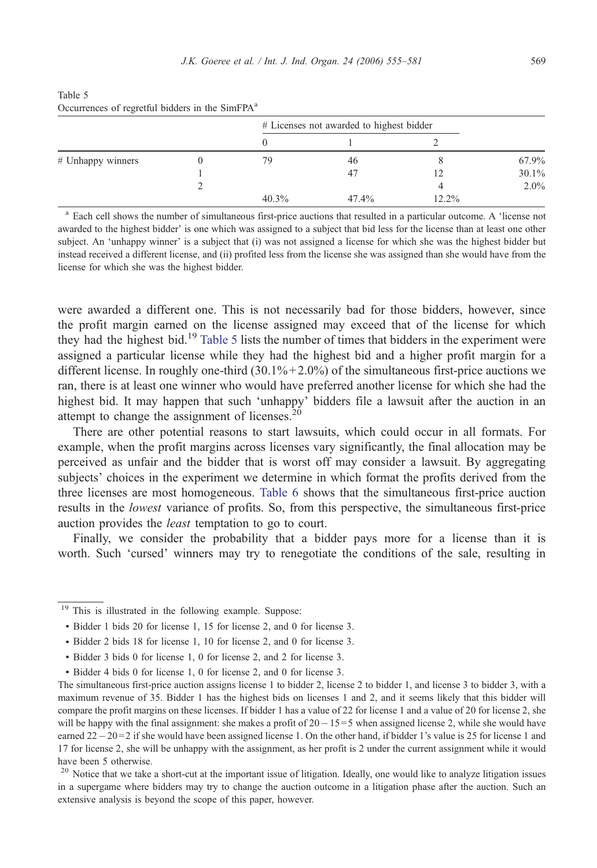| Occurrences of regretful bidders in the SimFPA |  |       |                                          |          |         |  |
|------------------------------------------------|--|-------|------------------------------------------|----------|---------|--|
|                                                |  |       | # Licenses not awarded to highest bidder |          |         |  |
|                                                |  |       |                                          |          |         |  |
| # Unhappy winners                              |  | 79    | 46                                       |          | 67.9%   |  |
|                                                |  |       | 47                                       | 12       | 30.1%   |  |
|                                                |  |       |                                          |          | $2.0\%$ |  |
|                                                |  | 40.3% | 47.4%                                    | $12.2\%$ |         |  |

Table 5 Occurrences of regretful bidders in the SimFPA<sup>a</sup>

<sup>a</sup> Each cell shows the number of simultaneous first-price auctions that resulted in a particular outcome. A 'license not awarded to the highest bidder' is one which was assigned to a subject that bid less for the license than at least one other subject. An 'unhappy winner' is a subject that (i) was not assigned a license for which she was the highest bidder but instead received a different license, and (ii) profited less from the license she was assigned than she would have from the license for which she was the highest bidder.

were awarded a different one. This is not necessarily bad for those bidders, however, since the profit margin earned on the license assigned may exceed that of the license for which they had the highest bid.19 Table 5 lists the number of times that bidders in the experiment were assigned a particular license while they had the highest bid and a higher profit margin for a different license. In roughly one-third  $(30.1\% + 2.0\%)$  of the simultaneous first-price auctions we ran, there is at least one winner who would have preferred another license for which she had the highest bid. It may happen that such 'unhappy' bidders file a lawsuit after the auction in an attempt to change the assignment of licenses.<sup>2</sup>

There are other potential reasons to start lawsuits, which could occur in all formats. For example, when the profit margins across licenses vary significantly, the final allocation may be perceived as unfair and the bidder that is worst off may consider a lawsuit. By aggregating subjects' choices in the experiment we determine in which format the profits derived from the three licenses are most homogeneous. Ta[ble 6](#page-15-0) shows that the simultaneous first-price auction results in the lowest variance of profits. So, from this perspective, the simultaneous first-price auction provides the least temptation to go to court.

Finally, we consider the probability that a bidder pays more for a license than it is worth. Such 'cursed' winners may try to renegotiate the conditions of the sale, resulting in

- ! Bidder 1 bids 20 for license 1, 15 for license 2, and 0 for license 3.
- ! Bidder 2 bids 18 for license 1, 10 for license 2, and 0 for license 3.
- ! Bidder 3 bids 0 for license 1, 0 for license 2, and 2 for license 3.
- ! Bidder 4 bids 0 for license 1, 0 for license 2, and 0 for license 3.

The simultaneous first-price auction assigns license 1 to bidder 2, license 2 to bidder 1, and license 3 to bidder 3, with a maximum revenue of 35. Bidder 1 has the highest bids on licenses 1 and 2, and it seems likely that this bidder will compare the profit margins on these licenses. If bidder 1 has a value of 22 for license 1 and a value of 20 for license 2, she will be happy with the final assignment: she makes a profit of  $20 - 15 = 5$  when assigned license 2, while she would have earned  $22-20=2$  if she would have been assigned license 1. On the other hand, if bidder 1's value is 25 for license 1 and 17 for license 2, she will be unhappy with the assignment, as her profit is 2 under the current assignment while it would have been 5 otherwise.

<sup>20</sup> Notice that we take a short-cut at the important issue of litigation. Ideally, one would like to analyze litigation issues in a supergame where bidders may try to change the auction outcome in a litigation phase after the auction. Such an extensive analysis is beyond the scope of this paper, however.

<sup>&</sup>lt;sup>19</sup> This is illustrated in the following example. Suppose: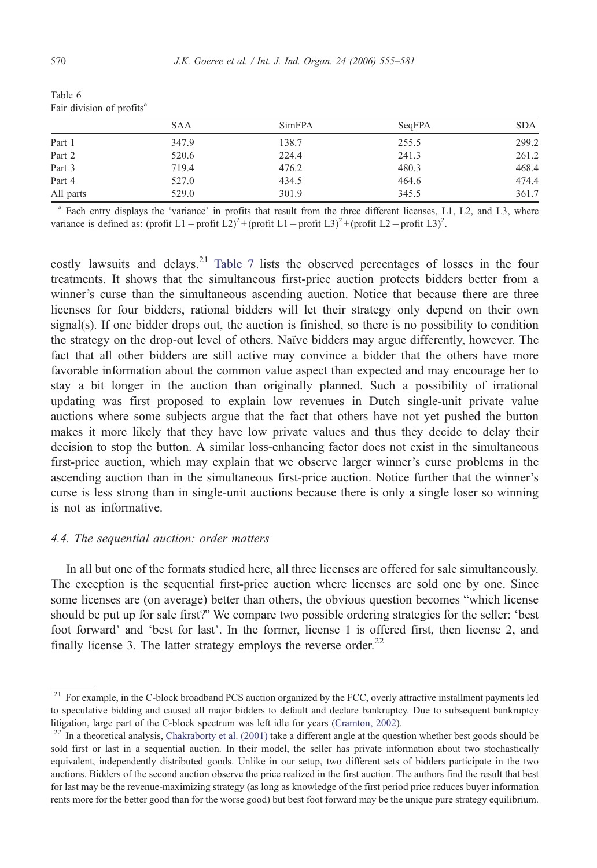|           | <b>SAA</b> | SimFPA | SeqFPA | <b>SDA</b> |  |
|-----------|------------|--------|--------|------------|--|
| Part 1    | 347.9      | 138.7  | 255.5  | 299.2      |  |
| Part 2    | 520.6      | 224.4  | 241.3  | 261.2      |  |
| Part 3    | 719.4      | 476.2  | 480.3  | 468.4      |  |
| Part 4    | 527.0      | 434.5  | 464.6  | 474.4      |  |
| All parts | 529.0      | 301.9  | 345.5  | 361.7      |  |

<span id="page-15-0"></span>Table 6 Fair division of profits<sup>a</sup>

<sup>a</sup> Each entry displays the 'variance' in profits that result from the three different licenses, L1, L2, and L3, where variance is defined as:  $(\text{profit L1} - \text{profit L2})^2 + (\text{profit L1} - \text{profit L3})^2 + (\text{profit L2} - \text{profit L3})^2$ .

costly lawsuits and delays.<sup>21</sup> Ta[ble 7](#page-16-0) lists the observed percentages of losses in the four treatments. It shows that the simultaneous first-price auction protects bidders better from a winner's curse than the simultaneous ascending auction. Notice that because there are three licenses for four bidders, rational bidders will let their strategy only depend on their own signal(s). If one bidder drops out, the auction is finished, so there is no possibility to condition the strategy on the drop-out level of others. Naïve bidders may argue differently, however. The fact that all other bidders are still active may convince a bidder that the others have more favorable information about the common value aspect than expected and may encourage her to stay a bit longer in the auction than originally planned. Such a possibility of irrational updating was first proposed to explain low revenues in Dutch single-unit private value auctions where some subjects argue that the fact that others have not yet pushed the button makes it more likely that they have low private values and thus they decide to delay their decision to stop the button. A similar loss-enhancing factor does not exist in the simultaneous first-price auction, which may explain that we observe larger winner's curse problems in the ascending auction than in the simultaneous first-price auction. Notice further that the winner's curse is less strong than in single-unit auctions because there is only a single loser so winning is not as informative.

# 4.4. The sequential auction: order matters

In all but one of the formats studied here, all three licenses are offered for sale simultaneously. The exception is the sequential first-price auction where licenses are sold one by one. Since some licenses are (on average) better than others, the obvious question becomes "which license should be put up for sale first?" We compare two possible ordering strategies for the seller: 'best foot forward' and 'best for last'. In the former, license 1 is offered first, then license 2, and finally license 3. The latter strategy employs the reverse order.<sup>22</sup>

 $21$  For example, in the C-block broadband PCS auction organized by the FCC, overly attractive installment payments led to speculative bidding and caused all major bidders to default and declare bankruptcy. Due to subsequent bankruptcy litigation, large part of the C-block spectrum was left idle for years (Cra[mton, 2002\).](#page-26-0)

 $22 \text{ In a theoretical analysis, Chakraborty et al. (2001) take a different angle at the question whether best goods should be.}$  $22 \text{ In a theoretical analysis, Chakraborty et al. (2001) take a different angle at the question whether best goods should be.}$  $22 \text{ In a theoretical analysis, Chakraborty et al. (2001) take a different angle at the question whether best goods should be.}$ sold first or last in a sequential auction. In their model, the seller has private information about two stochastically equivalent, independently distributed goods. Unlike in our setup, two different sets of bidders participate in the two auctions. Bidders of the second auction observe the price realized in the first auction. The authors find the result that best for last may be the revenue-maximizing strategy (as long as knowledge of the first period price reduces buyer information rents more for the better good than for the worse good) but best foot forward may be the unique pure strategy equilibrium.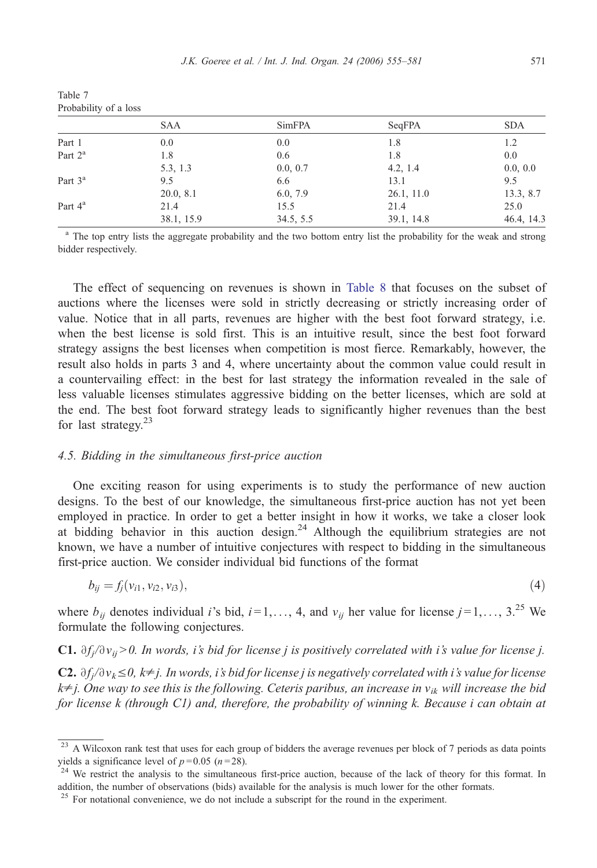| THODADIIITY OF A 1055 |            |           |            |            |  |
|-----------------------|------------|-----------|------------|------------|--|
|                       | SAA        | SimFPA    | SeqFPA     | <b>SDA</b> |  |
| Part 1                | 0.0        | 0.0       | 1.8        | 1.2        |  |
| Part $2^a$            | 1.8        | 0.6       | 1.8        | 0.0        |  |
|                       | 5.3, 1.3   | 0.0, 0.7  | 4.2, 1.4   | 0.0, 0.0   |  |
| Part $3^a$            | 9.5        | 6.6       | 13.1       | 9.5        |  |
|                       | 20.0, 8.1  | 6.0, 7.9  | 26.1, 11.0 | 13.3, 8.7  |  |
| Part $4^a$            | 21.4       | 15.5      | 21.4       | 25.0       |  |
|                       | 38.1, 15.9 | 34.5, 5.5 | 39.1, 14.8 | 46.4, 14.3 |  |
|                       |            |           |            |            |  |

<span id="page-16-0"></span>Table 7 Probability of a loss

<sup>a</sup> The top entry lists the aggregate probability and the two bottom entry list the probability for the weak and strong bidder respectively.

The effect of sequencing on revenues is shown in Ta[ble 8](#page-17-0) that focuses on the subset of auctions where the licenses were sold in strictly decreasing or strictly increasing order of value. Notice that in all parts, revenues are higher with the best foot forward strategy, i.e. when the best license is sold first. This is an intuitive result, since the best foot forward strategy assigns the best licenses when competition is most fierce. Remarkably, however, the result also holds in parts 3 and 4, where uncertainty about the common value could result in a countervailing effect: in the best for last strategy the information revealed in the sale of less valuable licenses stimulates aggressive bidding on the better licenses, which are sold at the end. The best foot forward strategy leads to significantly higher revenues than the best for last strategy.<sup>23</sup>

#### 4.5. Bidding in the simultaneous first-price auction

One exciting reason for using experiments is to study the performance of new auction designs. To the best of our knowledge, the simultaneous first-price auction has not yet been employed in practice. In order to get a better insight in how it works, we take a closer look at bidding behavior in this auction design.<sup>24</sup> Although the equilibrium strategies are not known, we have a number of intuitive conjectures with respect to bidding in the simultaneous first-price auction. We consider individual bid functions of the format

$$
b_{ij} = f_j(v_{i1}, v_{i2}, v_{i3}), \tag{4}
$$

where  $b_{ij}$  denotes individual *i*'s bid, *i*=1,..., 4, and  $v_{ij}$  her value for license *j*=1,..., 3.<sup>25</sup> We formulate the following conjectures.

**C1.**  $\partial f_i/\partial v_{ii} > 0$ . In words, i's bid for license j is positively correlated with i's value for license j.

**C2.**  $\partial f_i/\partial v_k \leq 0$ ,  $k\neq j$ . In words, i's bid for license j is negatively correlated with i's value for license  $k\neq j$ . One way to see this is the following. Ceteris paribus, an increase in  $v_{ik}$  will increase the bid for license k (through C1) and, therefore, the probability of winning k. Because i can obtain at

<sup>&</sup>lt;sup>23</sup> A Wilcoxon rank test that uses for each group of bidders the average revenues per block of 7 periods as data points yields a significance level of  $p = 0.05$  ( $n = 28$ ).

 $^{24}$  We restrict the analysis to the simultaneous first-price auction, because of the lack of theory for this format. In addition, the number of observations (bids) available for the analysis is much lower for the other formats.

<sup>&</sup>lt;sup>25</sup> For notational convenience, we do not include a subscript for the round in the experiment.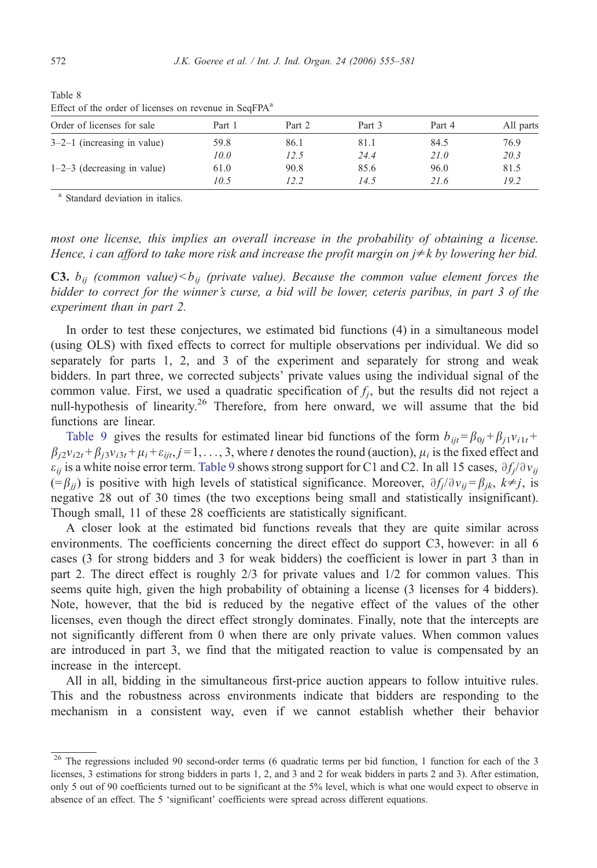| Effect of the order of licenses on revenue in SeqFPA <sup>a</sup> |        |        |        |        |           |
|-------------------------------------------------------------------|--------|--------|--------|--------|-----------|
| Order of licenses for sale                                        | Part 1 | Part 2 | Part 3 | Part 4 | All parts |
| $3-2-1$ (increasing in value)                                     | 59.8   | 86.1   | 81.1   | 84.5   | 76.9      |
|                                                                   | 10.0   | 12.5   | 24.4   | 21.0   | 20.3      |
| $1-2-3$ (decreasing in value)                                     | 61.0   | 90.8   | 85.6   | 96.0   | 81.5      |
|                                                                   | 10.5   | 122    | 14.5   | 21.6   | 19.2      |

<span id="page-17-0"></span>Table 8

<sup>a</sup> Standard deviation in italics.

most one license, this implies an overall increase in the probability of obtaining a license. Hence, i can afford to take more risk and increase the profit margin on  $j \neq k$  by lowering her bid.

**C3.**  $b_{ij}$  (common value) **(private value). Because the common value element forces the** bidder to correct for the winner's curse, a bid will be lower, ceteris paribus, in part 3 of the experiment than in part 2.

In order to test these conjectures, we estimated bid functions (4) in a simultaneous model (using OLS) with fixed effects to correct for multiple observations per individual. We did so separately for parts 1, 2, and 3 of the experiment and separately for strong and weak bidders. In part three, we corrected subjects' private values using the individual signal of the common value. First, we used a quadratic specification of  $f_i$ , but the results did not reject a null-hypothesis of linearity.<sup>26</sup> Therefore, from here onward, we will assume that the bid functions are linear.

Ta[ble 9](#page-18-0) gives the results for estimated linear bid functions of the form  $b_{ii} = \beta_{0i} + \beta_{i1}v_{i1t} +$  $\beta_{i2}v_{i2t} + \beta_{i3}v_{i3t} + \mu_i + \varepsilon_{iit}$ ,  $j = 1, \ldots, 3$ , where t denotes the round (auction),  $\mu_i$  is the fixed effect and  $\varepsilon_{ii}$  is a white noise error term. Ta[ble 9](#page-18-0) shows strong support for C1 and C2. In all 15 cases,  $\partial f_i/\partial v_{ii}$  $(=\beta_{ij})$  is positive with high levels of statistical significance. Moreover,  $\partial f_i/\partial v_{ij} = \beta_{jk}$ ,  $k \neq j$ , is negative 28 out of 30 times (the two exceptions being small and statistically insignificant). Though small, 11 of these 28 coefficients are statistically significant.

A closer look at the estimated bid functions reveals that they are quite similar across environments. The coefficients concerning the direct effect do support C3, however: in all 6 cases (3 for strong bidders and 3 for weak bidders) the coefficient is lower in part 3 than in part 2. The direct effect is roughly 2/3 for private values and 1/2 for common values. This seems quite high, given the high probability of obtaining a license (3 licenses for 4 bidders). Note, however, that the bid is reduced by the negative effect of the values of the other licenses, even though the direct effect strongly dominates. Finally, note that the intercepts are not significantly different from 0 when there are only private values. When common values are introduced in part 3, we find that the mitigated reaction to value is compensated by an increase in the intercept.

All in all, bidding in the simultaneous first-price auction appears to follow intuitive rules. This and the robustness across environments indicate that bidders are responding to the mechanism in a consistent way, even if we cannot establish whether their behavior

<sup>&</sup>lt;sup>26</sup> The regressions included 90 second-order terms (6 quadratic terms per bid function, 1 function for each of the 3 licenses, 3 estimations for strong bidders in parts 1, 2, and 3 and 2 for weak bidders in parts 2 and 3). After estimation, only 5 out of 90 coefficients turned out to be significant at the 5% level, which is what one would expect to observe in absence of an effect. The 5 'significant' coefficients were spread across different equations.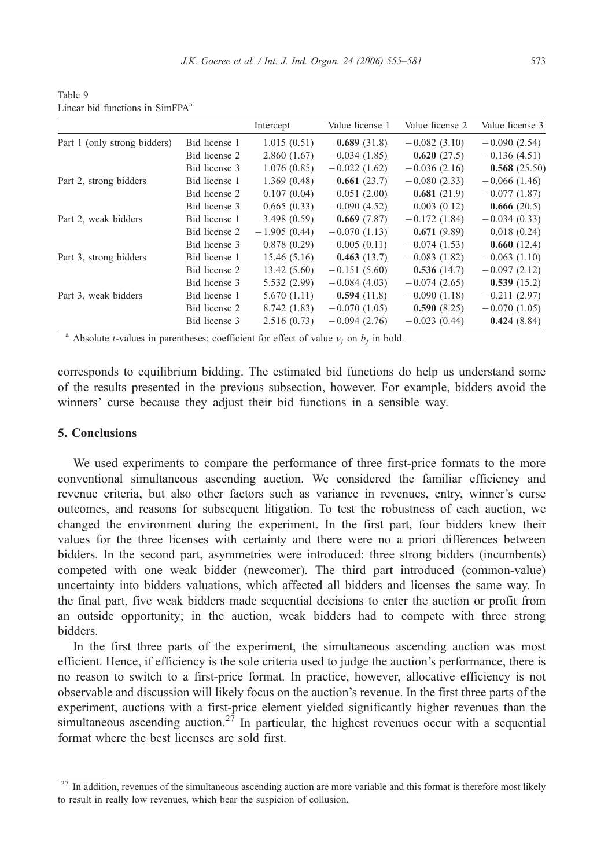|  |  | ı<br>$\sim$ |
|--|--|-------------|
|  |  |             |

|                              |               | Intercept      | Value license 1 | Value license 2 | Value license 3 |
|------------------------------|---------------|----------------|-----------------|-----------------|-----------------|
| Part 1 (only strong bidders) | Bid license 1 | 1.015(0.51)    | 0.689(31.8)     | $-0.082(3.10)$  | $-0.090(2.54)$  |
|                              | Bid license 2 | 2.860(1.67)    | $-0.034(1.85)$  | 0.620(27.5)     | $-0.136(4.51)$  |
|                              | Bid license 3 | 1.076(0.85)    | $-0.022(1.62)$  | $-0.036(2.16)$  | 0.568(25.50)    |
| Part 2, strong bidders       | Bid license 1 | 1.369(0.48)    | 0.661(23.7)     | $-0.080(2.33)$  | $-0.066(1.46)$  |
|                              | Bid license 2 | 0.107(0.04)    | $-0.051(2.00)$  | 0.681(21.9)     | $-0.077(1.87)$  |
|                              | Bid license 3 | 0.665(0.33)    | $-0.090(4.52)$  | 0.003(0.12)     | 0.666(20.5)     |
| Part 2, weak bidders         | Bid license 1 | 3.498(0.59)    | 0.669(7.87)     | $-0.172(1.84)$  | $-0.034(0.33)$  |
|                              | Bid license 2 | $-1.905(0.44)$ | $-0.070(1.13)$  | 0.671(9.89)     | 0.018(0.24)     |
|                              | Bid license 3 | 0.878(0.29)    | $-0.005(0.11)$  | $-0.074(1.53)$  | 0.660(12.4)     |
| Part 3, strong bidders       | Bid license 1 | 15.46(5.16)    | 0.463(13.7)     | $-0.083(1.82)$  | $-0.063(1.10)$  |
|                              | Bid license 2 | 13.42(5.60)    | $-0.151(5.60)$  | 0.536(14.7)     | $-0.097(2.12)$  |
|                              | Bid license 3 | 5.532 (2.99)   | $-0.084(4.03)$  | $-0.074(2.65)$  | 0.539(15.2)     |
| Part 3, weak bidders         | Bid license 1 | 5.670(1.11)    | 0.594(11.8)     | $-0.090(1.18)$  | $-0.211(2.97)$  |
|                              | Bid license 2 | 8.742 (1.83)   | $-0.070(1.05)$  | 0.590(8.25)     | $-0.070(1.05)$  |
|                              | Bid license 3 | 2.516(0.73)    | $-0.094(2.76)$  | $-0.023(0.44)$  | 0.424(8.84)     |

<span id="page-18-0"></span>Table 9 Linear bid functions in SimFPA<sup>a</sup>

<sup>a</sup> Absolute *t*-values in parentheses; coefficient for effect of value  $v_i$  on  $b_i$  in bold.

corresponds to equilibrium bidding. The estimated bid functions do help us understand some of the results presented in the previous subsection, however. For example, bidders avoid the winners' curse because they adjust their bid functions in a sensible way.

# 5. Conclusions

We used experiments to compare the performance of three first-price formats to the more conventional simultaneous ascending auction. We considered the familiar efficiency and revenue criteria, but also other factors such as variance in revenues, entry, winner's curse outcomes, and reasons for subsequent litigation. To test the robustness of each auction, we changed the environment during the experiment. In the first part, four bidders knew their values for the three licenses with certainty and there were no a priori differences between bidders. In the second part, asymmetries were introduced: three strong bidders (incumbents) competed with one weak bidder (newcomer). The third part introduced (common-value) uncertainty into bidders valuations, which affected all bidders and licenses the same way. In the final part, five weak bidders made sequential decisions to enter the auction or profit from an outside opportunity; in the auction, weak bidders had to compete with three strong bidders.

In the first three parts of the experiment, the simultaneous ascending auction was most efficient. Hence, if efficiency is the sole criteria used to judge the auction's performance, there is no reason to switch to a first-price format. In practice, however, allocative efficiency is not observable and discussion will likely focus on the auction's revenue. In the first three parts of the experiment, auctions with a first-price element yielded significantly higher revenues than the simultaneous ascending auction.<sup>27</sup> In particular, the highest revenues occur with a sequential format where the best licenses are sold first.

 $27$  In addition, revenues of the simultaneous ascending auction are more variable and this format is therefore most likely to result in really low revenues, which bear the suspicion of collusion.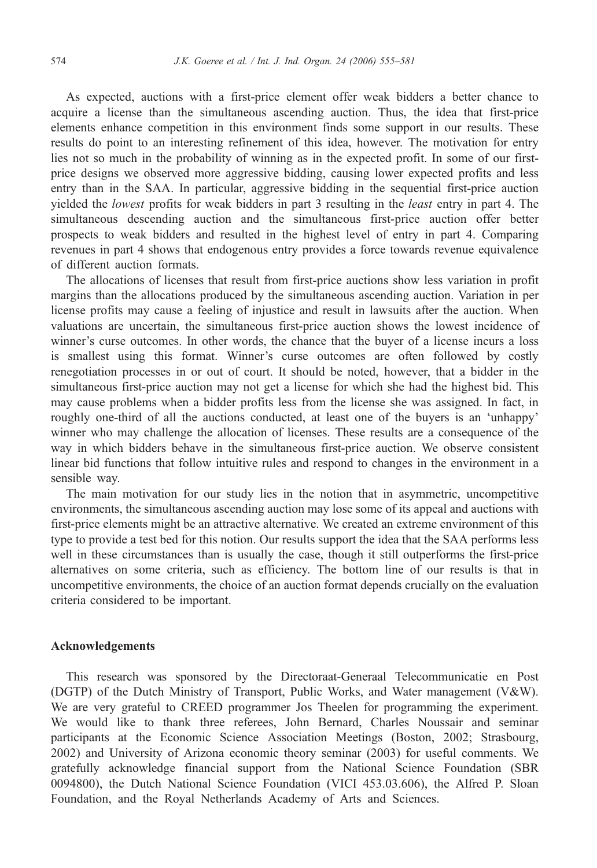As expected, auctions with a first-price element offer weak bidders a better chance to acquire a license than the simultaneous ascending auction. Thus, the idea that first-price elements enhance competition in this environment finds some support in our results. These results do point to an interesting refinement of this idea, however. The motivation for entry lies not so much in the probability of winning as in the expected profit. In some of our firstprice designs we observed more aggressive bidding, causing lower expected profits and less entry than in the SAA. In particular, aggressive bidding in the sequential first-price auction yielded the lowest profits for weak bidders in part 3 resulting in the least entry in part 4. The simultaneous descending auction and the simultaneous first-price auction offer better prospects to weak bidders and resulted in the highest level of entry in part 4. Comparing revenues in part 4 shows that endogenous entry provides a force towards revenue equivalence of different auction formats.

The allocations of licenses that result from first-price auctions show less variation in profit margins than the allocations produced by the simultaneous ascending auction. Variation in per license profits may cause a feeling of injustice and result in lawsuits after the auction. When valuations are uncertain, the simultaneous first-price auction shows the lowest incidence of winner's curse outcomes. In other words, the chance that the buyer of a license incurs a loss is smallest using this format. Winner's curse outcomes are often followed by costly renegotiation processes in or out of court. It should be noted, however, that a bidder in the simultaneous first-price auction may not get a license for which she had the highest bid. This may cause problems when a bidder profits less from the license she was assigned. In fact, in roughly one-third of all the auctions conducted, at least one of the buyers is an 'unhappy' winner who may challenge the allocation of licenses. These results are a consequence of the way in which bidders behave in the simultaneous first-price auction. We observe consistent linear bid functions that follow intuitive rules and respond to changes in the environment in a sensible way.

The main motivation for our study lies in the notion that in asymmetric, uncompetitive environments, the simultaneous ascending auction may lose some of its appeal and auctions with first-price elements might be an attractive alternative. We created an extreme environment of this type to provide a test bed for this notion. Our results support the idea that the SAA performs less well in these circumstances than is usually the case, though it still outperforms the first-price alternatives on some criteria, such as efficiency. The bottom line of our results is that in uncompetitive environments, the choice of an auction format depends crucially on the evaluation criteria considered to be important.

#### Acknowledgements

This research was sponsored by the Directoraat-Generaal Telecommunicatie en Post (DGTP) of the Dutch Ministry of Transport, Public Works, and Water management (V&W). We are very grateful to CREED programmer Jos Theelen for programming the experiment. We would like to thank three referees, John Bernard, Charles Noussair and seminar participants at the Economic Science Association Meetings (Boston, 2002; Strasbourg, 2002) and University of Arizona economic theory seminar (2003) for useful comments. We gratefully acknowledge financial support from the National Science Foundation (SBR 0094800), the Dutch National Science Foundation (VICI 453.03.606), the Alfred P. Sloan Foundation, and the Royal Netherlands Academy of Arts and Sciences.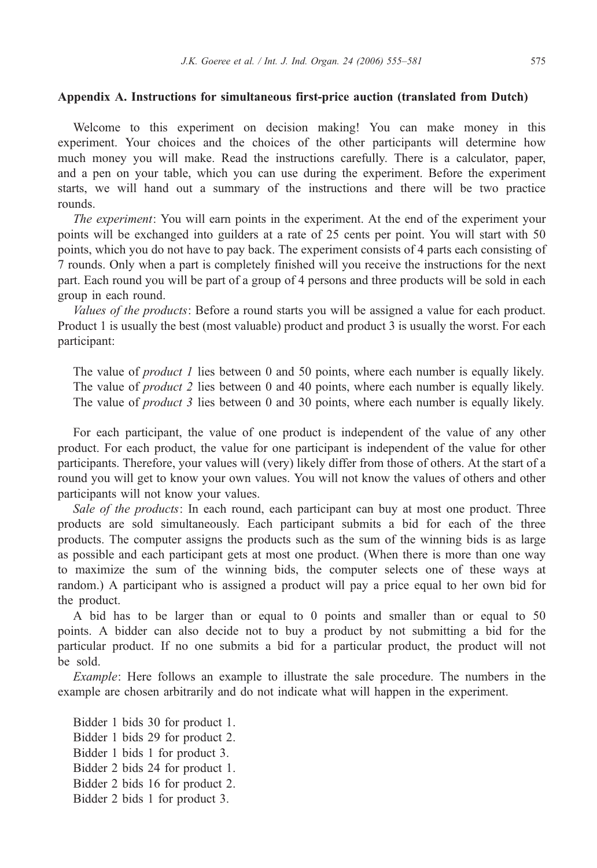#### Appendix A. Instructions for simultaneous first-price auction (translated from Dutch)

Welcome to this experiment on decision making! You can make money in this experiment. Your choices and the choices of the other participants will determine how much money you will make. Read the instructions carefully. There is a calculator, paper, and a pen on your table, which you can use during the experiment. Before the experiment starts, we will hand out a summary of the instructions and there will be two practice rounds.

The experiment: You will earn points in the experiment. At the end of the experiment your points will be exchanged into guilders at a rate of 25 cents per point. You will start with 50 points, which you do not have to pay back. The experiment consists of 4 parts each consisting of 7 rounds. Only when a part is completely finished will you receive the instructions for the next part. Each round you will be part of a group of 4 persons and three products will be sold in each group in each round.

Values of the products: Before a round starts you will be assigned a value for each product. Product 1 is usually the best (most valuable) product and product 3 is usually the worst. For each participant:

The value of *product 1* lies between 0 and 50 points, where each number is equally likely. The value of *product 2* lies between 0 and 40 points, where each number is equally likely. The value of *product 3* lies between 0 and 30 points, where each number is equally likely.

For each participant, the value of one product is independent of the value of any other product. For each product, the value for one participant is independent of the value for other participants. Therefore, your values will (very) likely differ from those of others. At the start of a round you will get to know your own values. You will not know the values of others and other participants will not know your values.

Sale of the products: In each round, each participant can buy at most one product. Three products are sold simultaneously. Each participant submits a bid for each of the three products. The computer assigns the products such as the sum of the winning bids is as large as possible and each participant gets at most one product. (When there is more than one way to maximize the sum of the winning bids, the computer selects one of these ways at random.) A participant who is assigned a product will pay a price equal to her own bid for the product.

A bid has to be larger than or equal to 0 points and smaller than or equal to 50 points. A bidder can also decide not to buy a product by not submitting a bid for the particular product. If no one submits a bid for a particular product, the product will not be sold.

Example: Here follows an example to illustrate the sale procedure. The numbers in the example are chosen arbitrarily and do not indicate what will happen in the experiment.

Bidder 1 bids 30 for product 1. Bidder 1 bids 29 for product 2. Bidder 1 bids 1 for product 3. Bidder 2 bids 24 for product 1. Bidder 2 bids 16 for product 2. Bidder 2 bids 1 for product 3.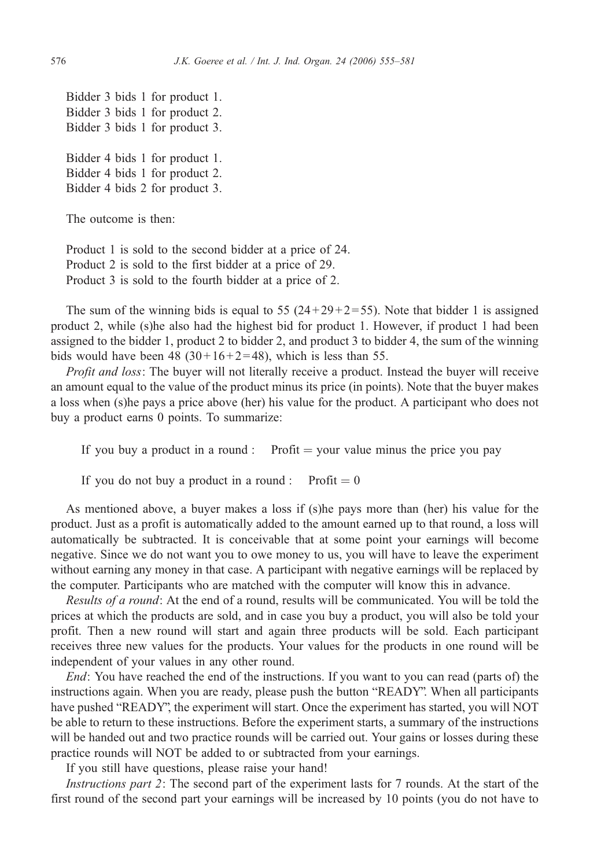Bidder 3 bids 1 for product 1. Bidder 3 bids 1 for product 2. Bidder 3 bids 1 for product 3. Bidder 4 bids 1 for product 1. Bidder 4 bids 1 for product 2. Bidder 4 bids 2 for product 3.

The outcome is then:

Product 1 is sold to the second bidder at a price of 24. Product 2 is sold to the first bidder at a price of 29. Product 3 is sold to the fourth bidder at a price of 2.

The sum of the winning bids is equal to 55 ( $24+29+2=55$ ). Note that bidder 1 is assigned product 2, while (s)he also had the highest bid for product 1. However, if product 1 had been assigned to the bidder 1, product 2 to bidder 2, and product 3 to bidder 4, the sum of the winning bids would have been  $48$  ( $30+16+2=48$ ), which is less than 55.

Profit and loss: The buyer will not literally receive a product. Instead the buyer will receive an amount equal to the value of the product minus its price (in points). Note that the buyer makes a loss when (s)he pays a price above (her) his value for the product. A participant who does not buy a product earns 0 points. To summarize:

If you buy a product in a round : Profit = your value minus the price you pay

If you do not buy a product in a round : Profit  $= 0$ 

As mentioned above, a buyer makes a loss if (s)he pays more than (her) his value for the product. Just as a profit is automatically added to the amount earned up to that round, a loss will automatically be subtracted. It is conceivable that at some point your earnings will become negative. Since we do not want you to owe money to us, you will have to leave the experiment without earning any money in that case. A participant with negative earnings will be replaced by the computer. Participants who are matched with the computer will know this in advance.

Results of a round: At the end of a round, results will be communicated. You will be told the prices at which the products are sold, and in case you buy a product, you will also be told your profit. Then a new round will start and again three products will be sold. Each participant receives three new values for the products. Your values for the products in one round will be independent of your values in any other round.

End: You have reached the end of the instructions. If you want to you can read (parts of) the instructions again. When you are ready, please push the button "READY". When all participants have pushed "READY", the experiment will start. Once the experiment has started, you will NOT be able to return to these instructions. Before the experiment starts, a summary of the instructions will be handed out and two practice rounds will be carried out. Your gains or losses during these practice rounds will NOT be added to or subtracted from your earnings.

If you still have questions, please raise your hand!

Instructions part 2: The second part of the experiment lasts for 7 rounds. At the start of the first round of the second part your earnings will be increased by 10 points (you do not have to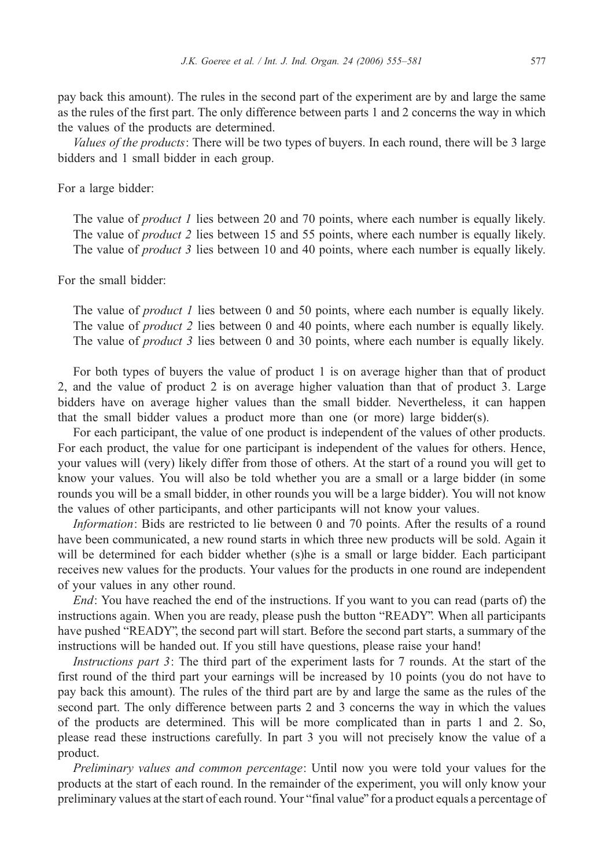pay back this amount). The rules in the second part of the experiment are by and large the same as the rules of the first part. The only difference between parts 1 and 2 concerns the way in which the values of the products are determined.

Values of the products: There will be two types of buyers. In each round, there will be 3 large bidders and 1 small bidder in each group.

For a large bidder:

The value of *product 1* lies between 20 and 70 points, where each number is equally likely. The value of *product 2* lies between 15 and 55 points, where each number is equally likely. The value of *product 3* lies between 10 and 40 points, where each number is equally likely.

For the small bidder:

The value of *product 1* lies between 0 and 50 points, where each number is equally likely. The value of product 2 lies between 0 and 40 points, where each number is equally likely. The value of *product 3* lies between 0 and 30 points, where each number is equally likely.

For both types of buyers the value of product 1 is on average higher than that of product 2, and the value of product 2 is on average higher valuation than that of product 3. Large bidders have on average higher values than the small bidder. Nevertheless, it can happen that the small bidder values a product more than one (or more) large bidder(s).

For each participant, the value of one product is independent of the values of other products. For each product, the value for one participant is independent of the values for others. Hence, your values will (very) likely differ from those of others. At the start of a round you will get to know your values. You will also be told whether you are a small or a large bidder (in some rounds you will be a small bidder, in other rounds you will be a large bidder). You will not know the values of other participants, and other participants will not know your values.

Information: Bids are restricted to lie between 0 and 70 points. After the results of a round have been communicated, a new round starts in which three new products will be sold. Again it will be determined for each bidder whether (s)he is a small or large bidder. Each participant receives new values for the products. Your values for the products in one round are independent of your values in any other round.

End: You have reached the end of the instructions. If you want to you can read (parts of) the instructions again. When you are ready, please push the button "READY". When all participants have pushed "READY", the second part will start. Before the second part starts, a summary of the instructions will be handed out. If you still have questions, please raise your hand!

Instructions part 3: The third part of the experiment lasts for 7 rounds. At the start of the first round of the third part your earnings will be increased by 10 points (you do not have to pay back this amount). The rules of the third part are by and large the same as the rules of the second part. The only difference between parts 2 and 3 concerns the way in which the values of the products are determined. This will be more complicated than in parts 1 and 2. So, please read these instructions carefully. In part 3 you will not precisely know the value of a product.

Preliminary values and common percentage: Until now you were told your values for the products at the start of each round. In the remainder of the experiment, you will only know your preliminary values at the start of each round. Your "final value" for a product equals a percentage of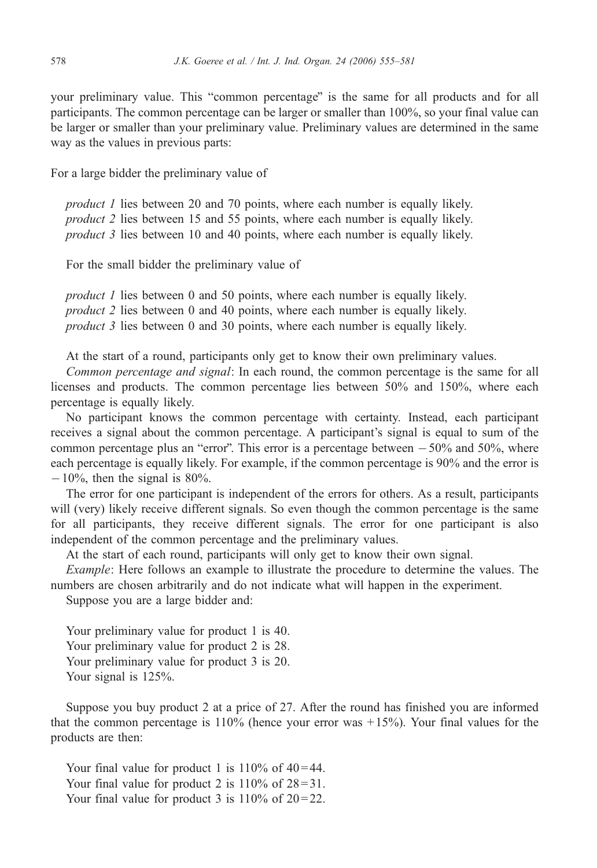your preliminary value. This "common percentage" is the same for all products and for all participants. The common percentage can be larger or smaller than 100%, so your final value can be larger or smaller than your preliminary value. Preliminary values are determined in the same way as the values in previous parts:

For a large bidder the preliminary value of

product 1 lies between 20 and 70 points, where each number is equally likely. product 2 lies between 15 and 55 points, where each number is equally likely. product 3 lies between 10 and 40 points, where each number is equally likely.

For the small bidder the preliminary value of

product 1 lies between 0 and 50 points, where each number is equally likely. product 2 lies between 0 and 40 points, where each number is equally likely. product 3 lies between 0 and 30 points, where each number is equally likely.

At the start of a round, participants only get to know their own preliminary values.

Common percentage and signal: In each round, the common percentage is the same for all licenses and products. The common percentage lies between 50% and 150%, where each percentage is equally likely.

No participant knows the common percentage with certainty. Instead, each participant receives a signal about the common percentage. A participant's signal is equal to sum of the common percentage plus an "error". This error is a percentage between  $-50\%$  and 50%, where each percentage is equally likely. For example, if the common percentage is 90% and the error is  $-10\%$ , then the signal is 80%.

The error for one participant is independent of the errors for others. As a result, participants will (very) likely receive different signals. So even though the common percentage is the same for all participants, they receive different signals. The error for one participant is also independent of the common percentage and the preliminary values.

At the start of each round, participants will only get to know their own signal.

Example: Here follows an example to illustrate the procedure to determine the values. The numbers are chosen arbitrarily and do not indicate what will happen in the experiment.

Suppose you are a large bidder and:

Your preliminary value for product 1 is 40. Your preliminary value for product 2 is 28. Your preliminary value for product 3 is 20. Your signal is  $125%$ .

Suppose you buy product 2 at a price of 27. After the round has finished you are informed that the common percentage is  $110\%$  (hence your error was  $+15\%$ ). Your final values for the products are then:

Your final value for product 1 is  $110\%$  of  $40=44$ . Your final value for product 2 is  $110\%$  of  $28 = 31$ . Your final value for product 3 is  $110\%$  of  $20=22$ .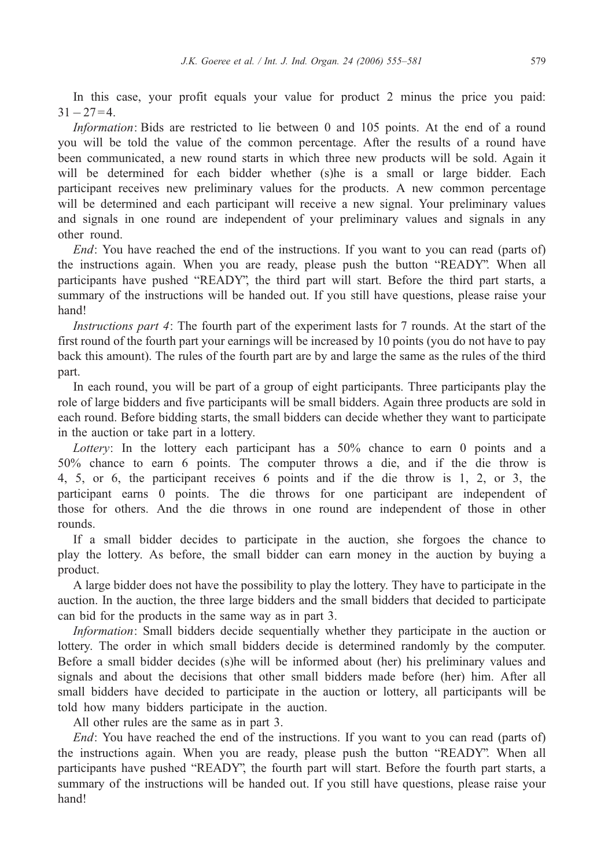In this case, your profit equals your value for product 2 minus the price you paid:  $31 - 27 = 4.$ 

Information: Bids are restricted to lie between 0 and 105 points. At the end of a round you will be told the value of the common percentage. After the results of a round have been communicated, a new round starts in which three new products will be sold. Again it will be determined for each bidder whether (s)he is a small or large bidder. Each participant receives new preliminary values for the products. A new common percentage will be determined and each participant will receive a new signal. Your preliminary values and signals in one round are independent of your preliminary values and signals in any other round.

End: You have reached the end of the instructions. If you want to you can read (parts of) the instructions again. When you are ready, please push the button "READY". When all participants have pushed "READY", the third part will start. Before the third part starts, a summary of the instructions will be handed out. If you still have questions, please raise your hand!

Instructions part 4: The fourth part of the experiment lasts for 7 rounds. At the start of the first round of the fourth part your earnings will be increased by 10 points (you do not have to pay back this amount). The rules of the fourth part are by and large the same as the rules of the third part.

In each round, you will be part of a group of eight participants. Three participants play the role of large bidders and five participants will be small bidders. Again three products are sold in each round. Before bidding starts, the small bidders can decide whether they want to participate in the auction or take part in a lottery.

Lottery: In the lottery each participant has a 50% chance to earn 0 points and a 50% chance to earn 6 points. The computer throws a die, and if the die throw is 4, 5, or 6, the participant receives 6 points and if the die throw is 1, 2, or 3, the participant earns 0 points. The die throws for one participant are independent of those for others. And the die throws in one round are independent of those in other rounds.

If a small bidder decides to participate in the auction, she forgoes the chance to play the lottery. As before, the small bidder can earn money in the auction by buying a product.

A large bidder does not have the possibility to play the lottery. They have to participate in the auction. In the auction, the three large bidders and the small bidders that decided to participate can bid for the products in the same way as in part 3.

Information: Small bidders decide sequentially whether they participate in the auction or lottery. The order in which small bidders decide is determined randomly by the computer. Before a small bidder decides (s)he will be informed about (her) his preliminary values and signals and about the decisions that other small bidders made before (her) him. After all small bidders have decided to participate in the auction or lottery, all participants will be told how many bidders participate in the auction.

All other rules are the same as in part 3.

End: You have reached the end of the instructions. If you want to you can read (parts of) the instructions again. When you are ready, please push the button "READY". When all participants have pushed "READY", the fourth part will start. Before the fourth part starts, a summary of the instructions will be handed out. If you still have questions, please raise your hand!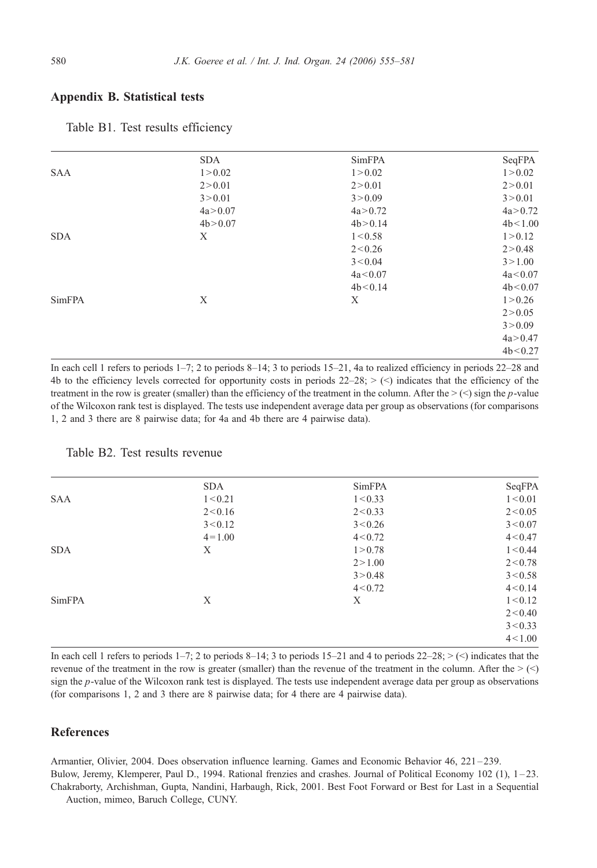## <span id="page-25-0"></span>Appendix B. Statistical tests

|               | <b>SDA</b> | SimFPA    | SeqFPA    |
|---------------|------------|-----------|-----------|
| <b>SAA</b>    | 1 > 0.02   | 1 > 0.02  | 1 > 0.02  |
|               | 2 > 0.01   | 2 > 0.01  | 2 > 0.01  |
|               | 3 > 0.01   | 3 > 0.09  | 3 > 0.01  |
|               | 4a > 0.07  | 4a > 0.72 | 4a > 0.72 |
|               | 4b > 0.07  | 4b > 0.14 | 4b < 1.00 |
| <b>SDA</b>    | X          | 1 < 0.58  | 1 > 0.12  |
|               |            | 2 < 0.26  | 2 > 0.48  |
|               |            | 3 < 0.04  | 3 > 1.00  |
|               |            | 4a < 0.07 | 4a < 0.07 |
|               |            | 4b < 0.14 | 4b < 0.07 |
| <b>SimFPA</b> | Χ          | X         | 1 > 0.26  |
|               |            |           | 2 > 0.05  |
|               |            |           | 3 > 0.09  |
|               |            |           | 4a > 0.47 |
|               |            |           | 4b < 0.27 |

Table B1. Test results efficiency

In each cell 1 refers to periods 1–7; 2 to periods 8–14; 3 to periods 15–21, 4a to realized efficiency in periods 22–28 and 4b to the efficiency levels corrected for opportunity costs in periods  $22-28$ ;  $>$  (<) indicates that the efficiency of the treatment in the row is greater (smaller) than the efficiency of the treatment in the column. After the  $\geq$  ( $\leq$ ) sign the p-value of the Wilcoxon rank test is displayed. The tests use independent average data per group as observations (for comparisons 1, 2 and 3 there are 8 pairwise data; for 4a and 4b there are 4 pairwise data).

#### Table B2. Test results revenue

|               | <b>SDA</b> | SimFPA   | SeqFPA   |
|---------------|------------|----------|----------|
|               |            |          |          |
| <b>SAA</b>    | 1 < 0.21   | 1 < 0.33 | 1 < 0.01 |
|               | 2 < 0.16   | 2 < 0.33 | 2 < 0.05 |
|               | 3 < 0.12   | 3 < 0.26 | 3 < 0.07 |
|               | $4 = 1.00$ | 4 < 0.72 | 4 < 0.47 |
| <b>SDA</b>    | Χ          | 1 > 0.78 | 1 < 0.44 |
|               |            | 2 > 1.00 | 2 < 0.78 |
|               |            | 3 > 0.48 | 3 < 0.58 |
|               |            | 4 < 0.72 | 4 < 0.14 |
| <b>SimFPA</b> | X          | X        | 1 < 0.12 |
|               |            |          | 2 < 0.40 |
|               |            |          | 3 < 0.33 |
|               |            |          | 4 < 1.00 |

In each cell 1 refers to periods 1–7; 2 to periods 8–14; 3 to periods 15–21 and 4 to periods 22–28;  $>$  (<) indicates that the revenue of the treatment in the row is greater (smaller) than the revenue of the treatment in the column. After the  $>$  (<) sign the p-value of the Wilcoxon rank test is displayed. The tests use independent average data per group as observations (for comparisons 1, 2 and 3 there are 8 pairwise data; for 4 there are 4 pairwise data).

# References

Armantier, Olivier, 2004. Does observation influence learning. Games and Economic Behavior 46, 221-239. Bulow, Jeremy, Klemperer, Paul D., 1994. Rational frenzies and crashes. Journal of Political Economy 102 (1), 1 – 23. Chakraborty, Archishman, Gupta, Nandini, Harbaugh, Rick, 2001. Best Foot Forward or Best for Last in a Sequential Auction, mimeo, Baruch College, CUNY.